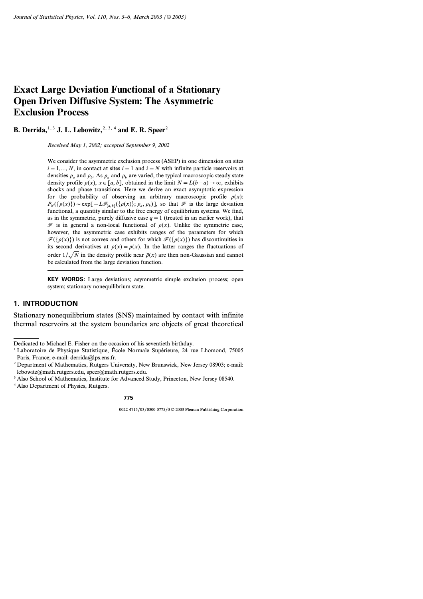# **Exact Large Deviation Functional of a Stationary Open Driven Diffusive System: The Asymmetric Exclusion Process**

**B. Derrida,**<sup>1, 3</sup> **J. L. Lebowitz,**<sup>2, 3, 4</sup> and **E. R. Speer**<sup>2</sup>

*Received May 1, 2002; accepted September 9, 2002*

We consider the asymmetric exclusion process (ASEP) in one dimension on sites  $i=1,..., N$ , in contact at sites  $i=1$  and  $i=N$  with infinite particle reservoirs at densities  $\rho_a$  and  $\rho_b$ . As  $\rho_a$  and  $\rho_b$  are varied, the typical macroscopic steady state density profile  $\bar{p}(x)$ ,  $x \in [a, b]$ , obtained in the limit  $N = L(b - a) \rightarrow \infty$ , exhibits shocks and phase transitions. Here we derive an exact asymptotic expression for the probability of observing an arbitrary macroscopic profile  $\rho(x)$ :  $P_N(\{\rho(x)\}) \sim \exp[-L\mathcal{F}_{[a,b]}(\{\rho(x)\}; \rho_a, \rho_b)]$ , so that  $\mathcal F$  is the large deviation functional, a quantity similar to the free energy of equilibrium systems. We find, as in the symmetric, purely diffusive case  $q=1$  (treated in an earlier work), that  $\mathscr F$  is in general a non-local functional of  $\rho(x)$ . Unlike the symmetric case, however, the asymmetric case exhibits ranges of the parameters for which  $\mathcal{F}({\rho(x)})$  is not convex and others for which  $\mathcal{F}({\rho(x)})$  has discontinuities in its second derivatives at  $\rho(x) = \bar{\rho}(x)$ . In the latter ranges the fluctuations of order  $1/\sqrt{N}$  in the density profile near  $\bar{p}(x)$  are then non-Gaussian and cannot be calculated from the large deviation function.

**KEY WORDS:** Large deviations; asymmetric simple exclusion process; open system; stationary nonequilibrium state.

# **1. INTRODUCTION**

Stationary nonequilibrium states (SNS) maintained by contact with infinite thermal reservoirs at the system boundaries are objects of great theoretical

Dedicated to Michael E. Fisher on the occasion of his seventieth birthday.

<sup>1</sup> Laboratoire de Physique Statistique, École Normale Supérieure, 24 rue Lhomond, 75005 Paris, France; e-mail: derrida@lps.ens.fr.

<sup>2</sup> Department of Mathematics, Rutgers University, New Brunswick, New Jersey 08903; e-mail: lebowitz@math.rutgers.edu, speer@math.rutgers.edu.

<sup>&</sup>lt;sup>3</sup> Also School of Mathematics, Institute for Advanced Study, Princeton, New Jersey 08540.

<sup>4</sup> Also Department of Physics, Rutgers.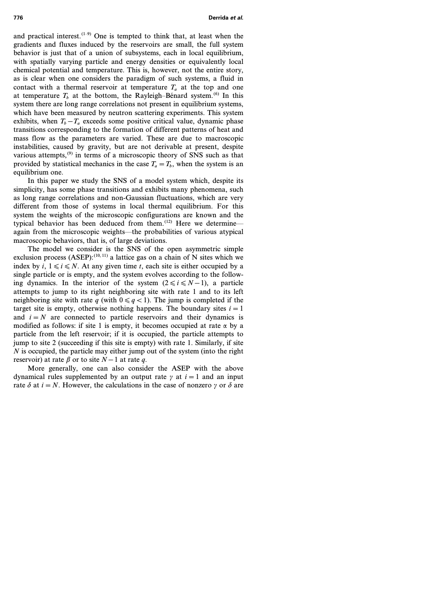and practical interest. $(1-9)$  One is tempted to think that, at least when the gradients and fluxes induced by the reservoirs are small, the full system behavior is just that of a union of subsystems, each in local equilibrium, with spatially varying particle and energy densities or equivalently local chemical potential and temperature. This is, however, not the entire story, as is clear when one considers the paradigm of such systems, a fluid in contact with a thermal reservoir at temperature  $T_a$  at the top and one at temperature  $T<sub>b</sub>$  at the bottom, the Rayleigh–Bénard system.<sup>(6)</sup> In this system there are long range correlations not present in equilibrium systems, which have been measured by neutron scattering experiments. This system exhibits, when  $T_b - T_a$  exceeds some positive critical value, dynamic phase transitions corresponding to the formation of different patterns of heat and mass flow as the parameters are varied. These are due to macroscopic instabilities, caused by gravity, but are not derivable at present, despite various attempts, $^{(9)}$  in terms of a microscopic theory of SNS such as that provided by statistical mechanics in the case  $T_a = T_b$ , when the system is an equilibrium one.

In this paper we study the SNS of a model system which, despite its simplicity, has some phase transitions and exhibits many phenomena, such as long range correlations and non-Gaussian fluctuations, which are very different from those of systems in local thermal equilibrium. For this system the weights of the microscopic configurations are known and the typical behavior has been deduced from them.<sup>(12)</sup> Here we determine again from the microscopic weights—the probabilities of various atypical macroscopic behaviors, that is, of large deviations.

The model we consider is the SNS of the open asymmetric simple exclusion process  $(ASEP)$ :<sup>(10, 11)</sup> a lattice gas on a chain of N sites which we index by  $i, 1 \le i \le N$ . At any given time *t*, each site is either occupied by a single particle or is empty, and the system evolves according to the following dynamics. In the interior of the system  $(2 \le i \le N-1)$ , a particle attempts to jump to its right neighboring site with rate 1 and to its left neighboring site with rate *q* (with  $0 \leq q < 1$ ). The jump is completed if the target site is empty, otherwise nothing happens. The boundary sites  $i=1$ and  $i = N$  are connected to particle reservoirs and their dynamics is modified as follows: if site 1 is empty, it becomes occupied at rate  $\alpha$  by a particle from the left reservoir; if it is occupied, the particle attempts to jump to site 2 (succeeding if this site is empty) with rate 1. Similarly, if site *N* is occupied, the particle may either jump out of the system (into the right reservoir) at rate  $\beta$  or to site  $N-1$  at rate  $q$ .

More generally, one can also consider the ASEP with the above dynamical rules supplemented by an output rate  $\gamma$  at  $i=1$  and an input rate  $\delta$  at  $i = N$ . However, the calculations in the case of nonzero  $\gamma$  or  $\delta$  are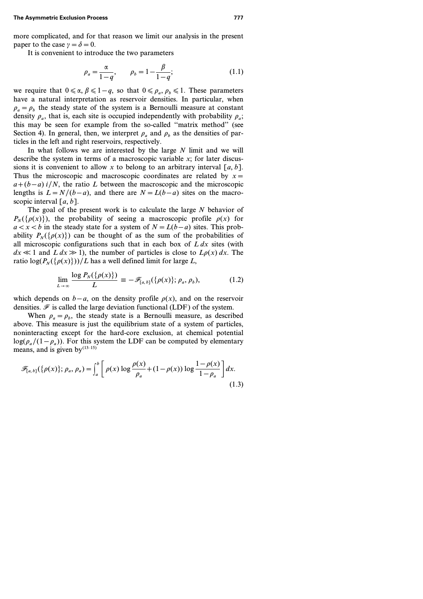more complicated, and for that reason we limit our analysis in the present paper to the case  $\gamma = \delta = 0$ .

It is convenient to introduce the two parameters

$$
\rho_a = \frac{\alpha}{1 - q}, \qquad \rho_b = 1 - \frac{\beta}{1 - q}; \tag{1.1}
$$

we require that  $0 \le \alpha, \beta \le 1-q$ , so that  $0 \le \rho_a, \rho_b \le 1$ . These parameters have a natural interpretation as reservoir densities. In particular, when  $\rho_a = \rho_b$  the steady state of the system is a Bernoulli measure at constant density  $\rho_a$ , that is, each site is occupied independently with probability  $\rho_a$ ; this may be seen for example from the so-called ''matrix method'' (see Section 4). In general, then, we interpret  $\rho_a$  and  $\rho_b$  as the densities of particles in the left and right reservoirs, respectively.

In what follows we are interested by the large *N* limit and we will describe the system in terms of a macroscopic variable *x*; for later discussions it is convenient to allow x to belong to an arbitrary interval  $[a, b]$ . Thus the microscopic and macroscopic coordinates are related by *x= a*+(*b*−*a*) *i*/*N*, the ratio *L* between the macroscopic and the microscopic lengths is  $L = N/(b - a)$ , and there are  $N = L(b - a)$  sites on the macroscopic interval *[a, b]*.

The goal of the present work is to calculate the large *N* behavior of  $P_{\nu}(\{\rho(x)\})$ , the probability of seeing a macroscopic profile  $\rho(x)$  for  $a < x < b$  in the steady state for a system of  $N = L(b - a)$  sites. This probability  $P_{N}(\{\rho(x)\})$  can be thought of as the sum of the probabilities of all microscopic configurations such that in each box of *L dx* sites (with  $dx \ll 1$  and  $L dx \gg 1$ , the number of particles is close to  $L\rho(x) dx$ . The ratio  $\log(P_N(\{\rho(x)\}))$ /*L* has a well defined limit for large *L*,

$$
\lim_{L\to\infty}\frac{\log P_N(\{\rho(x)\})}{L}\equiv-\mathscr{F}_{[a,b]}(\{\rho(x)\};\rho_a,\rho_b),\tag{1.2}
$$

which depends on *b*−*a*, on the density profile  $\rho(x)$ , and on the reservoir densities.  $\mathcal F$  is called the large deviation functional (LDF) of the system.

When  $\rho_a = \rho_b$ , the steady state is a Bernoulli measure, as described above. This measure is just the equilibrium state of a system of particles, noninteracting except for the hard-core exclusion, at chemical potential  $\log(\rho_a/(1-\rho_a))$ . For this system the LDF can be computed by elementary means, and is given by  $(13-15)$ 

$$
\mathscr{F}_{[a,b]}(\{\rho(x)\};\rho_a,\rho_a) = \int_a^b \left[ \rho(x) \log \frac{\rho(x)}{\rho_a} + (1 - \rho(x)) \log \frac{1 - \rho(x)}{1 - \rho_a} \right] dx.
$$
\n(1.3)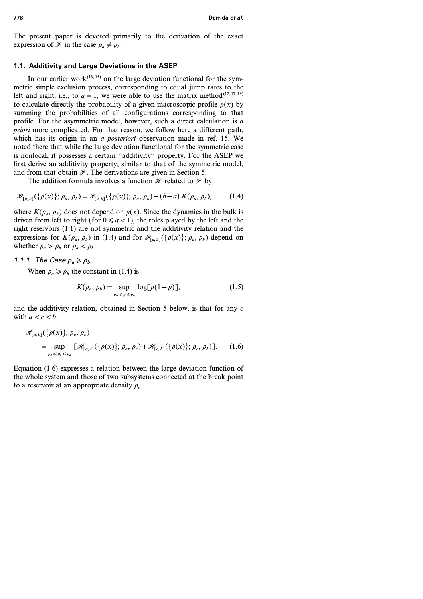The present paper is devoted primarily to the derivation of the exact expression of  $\mathcal{F}$  in the case  $\rho_a \neq \rho_b$ .

# **1.1. Additivity and Large Deviations in the ASEP**

In our earlier work<sup> $(16, 15)$ </sup> on the large deviation functional for the symmetric simple exclusion process, corresponding to equal jump rates to the left and right, i.e., to  $q=1$ , we were able to use the matrix method<sup>(12, 17–19)</sup> to calculate directly the probability of a given macroscopic profile  $\rho(x)$  by summing the probabilities of all configurations corresponding to that profile. For the asymmetric model, however, such a direct calculation is *a priori* more complicated. For that reason, we follow here a different path, which has its origin in an *a posteriori* observation made in ref. 15. We noted there that while the large deviation functional for the symmetric case is nonlocal, it possesses a certain ''additivity'' property. For the ASEP we first derive an additivity property, similar to that of the symmetric model, and from that obtain  $\mathcal F$ . The derivations are given in Section 5.

The addition formula involves a function  $\mathcal H$  related to  $\mathcal F$  by

$$
\mathscr{H}_{[a,b]}(\{\rho(x)\};\rho_a,\rho_b) = \mathscr{F}_{[a,b]}(\{\rho(x)\};\rho_a,\rho_b) + (b-a) K(\rho_a,\rho_b),\tag{1.4}
$$

where  $K(\rho_a, \rho_b)$  does not depend on  $\rho(x)$ . Since the dynamics in the bulk is driven from left to right (for  $0 \le q < 1$ ), the roles played by the left and the right reservoirs (1.1) are not symmetric and the additivity relation and the expressions for  $K(\rho_a, \rho_b)$  in (1.4) and for  $\mathcal{F}_{[a, b]}(\{\rho(x)\}; \rho_a, \rho_b)$  depend on whether  $\rho_a > \rho_b$  or  $\rho_a < \rho_b$ .

# 1.1.1. The Case  $\rho_a \geqslant \rho_b$

When  $\rho_a \ge \rho_b$  the constant in (1.4) is

$$
K(\rho_a, \rho_b) = \sup_{\rho_b \le \rho \le \rho_a} \log[\rho(1-\rho)],\tag{1.5}
$$

and the additivity relation, obtained in Section 5 below, is that for any *c* with  $a < c < b$ ,

$$
\mathcal{H}_{[a,b]}(\{\rho(x)\};\rho_a,\rho_b) = \sup_{\rho_b \leq \rho_c \leq \rho_a} [\mathcal{H}_{[a,c]}(\{\rho(x)\};\rho_a,\rho_c) + \mathcal{H}_{[c,b]}(\{\rho(x)\};\rho_c,\rho_b)]. \tag{1.6}
$$

Equation (1.6) expresses a relation between the large deviation function of the whole system and those of two subsystems connected at the break point to a reservoir at an appropriate density  $\rho_c$ .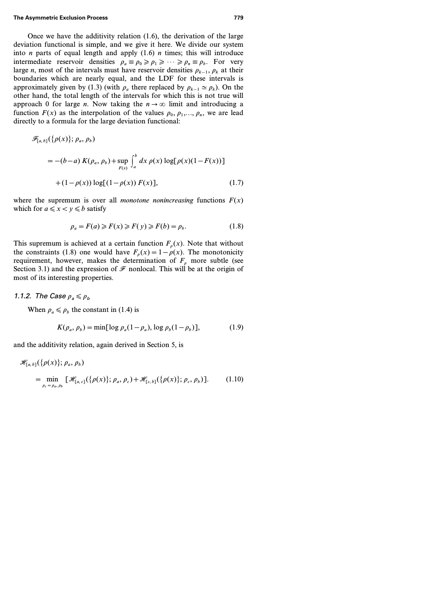Once we have the additivity relation (1.6), the derivation of the large deviation functional is simple, and we give it here. We divide our system into *n* parts of equal length and apply (1.6) *n* times; this will introduce intermediate reservoir densities  $\rho_a \equiv \rho_0 \ge \rho_1 \ge \cdots \ge \rho_n \equiv \rho_b$ . For very large *n*, most of the intervals must have reservoir densities  $\rho_{k-1}, \rho_k$  at their boundaries which are nearly equal, and the LDF for these intervals is approximately given by (1.3) (with  $\rho_a$  there replaced by  $\rho_{k-1} \simeq \rho_k$ ). On the other hand, the total length of the intervals for which this is not true will approach 0 for large *n*. Now taking the  $n \rightarrow \infty$  limit and introducing a function  $F(x)$  as the interpolation of the values  $\rho_0, \rho_1, \ldots, \rho_n$ , we are lead directly to a formula for the large deviation functional:

$$
\mathscr{F}_{[a,b]}(\{\rho(x)\};\rho_a,\rho_b)
$$
  
= -(b-a) K(\rho\_a,\rho\_b)+\sup\_{F(x)}\int\_a^b dx \rho(x) \log[\rho(x)(1-F(x))]  
+(1-\rho(x)) \log[(1-\rho(x)) F(x)], (1.7)

where the supremum is over all *monotone nonincreasing* functions  $F(x)$ which for  $a \le x < y \le b$  satisfy

$$
\rho_a = F(a) \ge F(x) \ge F(y) \ge F(b) = \rho_b. \tag{1.8}
$$

This supremum is achieved at a certain function  $F_p(x)$ . Note that without the constraints (1.8) one would have  $F_p(x) = 1 - p(x)$ . The monotonicity requirement, however, makes the determination of  $F<sub>o</sub>$  more subtle (see Section 3.1) and the expression of  $\mathcal F$  nonlocal. This will be at the origin of most of its interesting properties.

#### 1.1.2. The Case  $\rho_a \leqslant \rho_b$

When  $\rho_a \le \rho_b$  the constant in (1.4) is

$$
K(\rho_a, \rho_b) = \min[\log \rho_a (1 - \rho_a), \log \rho_b (1 - \rho_b)],\tag{1.9}
$$

and the additivity relation, again derived in Section 5, is

$$
\mathcal{H}_{[a,b]}(\{\rho(x)\};\rho_a,\rho_b)
$$
  
= min  $\lim_{\rho_c=\rho_a,\rho_b} [\mathcal{H}_{[a,c]}(\{\rho(x)\};\rho_a,\rho_c) + \mathcal{H}_{[c,b]}(\{\rho(x)\};\rho_c,\rho_b)].$  (1.10)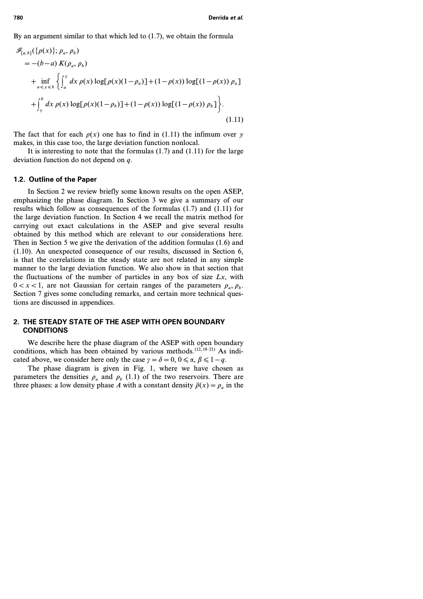By an argument similar to that which led to (1.7), we obtain the formula

$$
\mathcal{F}_{[a,b]}(\{\rho(x)\}; \rho_a, \rho_b) \n= -(b-a) K(\rho_a, \rho_b) \n+ \inf_{a \le y \le b} \left\{ \int_a^y dx \, \rho(x) \log[\rho(x)(1-\rho_a)] + (1-\rho(x)) \log[(1-\rho(x)) \rho_a] \right\} \n+ \int_y^b dx \, \rho(x) \log[\rho(x)(1-\rho_b)] + (1-\rho(x)) \log[(1-\rho(x)) \rho_b] \right\}.
$$
\n(1.11)

The fact that for each  $\rho(x)$  one has to find in (1.11) the infimum over *y* makes, in this case too, the large deviation function nonlocal.

It is interesting to note that the formulas  $(1.7)$  and  $(1.11)$  for the large deviation function do not depend on *q*.

#### **1.2. Outline of the Paper**

In Section 2 we review briefly some known results on the open ASEP, emphasizing the phase diagram. In Section 3 we give a summary of our results which follow as consequences of the formulas (1.7) and (1.11) for the large deviation function. In Section 4 we recall the matrix method for carrying out exact calculations in the ASEP and give several results obtained by this method which are relevant to our considerations here. Then in Section 5 we give the derivation of the addition formulas (1.6) and (1.10). An unexpected consequence of our results, discussed in Section 6, is that the correlations in the steady state are not related in any simple manner to the large deviation function. We also show in that section that the fluctuations of the number of particles in any box of size *Lx*, with  $0 < x < 1$ , are not Gaussian for certain ranges of the parameters  $\rho_a$ ,  $\rho_b$ . Section 7 gives some concluding remarks, and certain more technical questions are discussed in appendices.

# **2. THE STEADY STATE OF THE ASEP WITH OPEN BOUNDARY CONDITIONS**

We describe here the phase diagram of the ASEP with open boundary conditions, which has been obtained by various methods. $(12, 18-21)$  As indicated above, we consider here only the case  $\gamma = \delta = 0, 0 \le \alpha, \beta \le 1 - q$ .

The phase diagram is given in Fig. 1, where we have chosen as parameters the densities  $\rho_a$  and  $\rho_b$  (1.1) of the two reservoirs. There are three phases: a low density phase *A* with a constant density  $\bar{p}(x) = \rho_a$  in the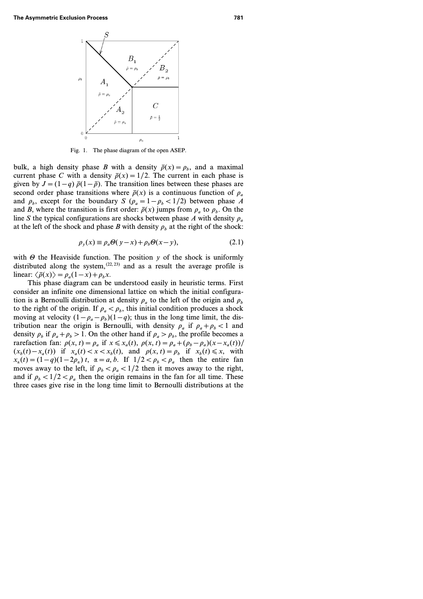

Fig. 1. The phase diagram of the open ASEP.

bulk, a high density phase *B* with a density  $\bar{p}(x) = \rho_b$ , and a maximal current phase *C* with a density  $\bar{p}(x) = 1/2$ . The current in each phase is given by  $J = (1 - q) \bar{\rho}(1 - \bar{\rho})$ . The transition lines between these phases are second order phase transitions where  $\bar{\rho}(x)$  is a continuous function of  $\rho_a$ and  $\rho_b$ , except for the boundary *S* ( $\rho_a = 1 - \rho_b < 1/2$ ) between phase *A* and *B*, where the transition is first order:  $\bar{p}(x)$  jumps from  $\rho_a$  to  $\rho_b$ . On the line *S* the typical configurations are shocks between phase *A* with density  $\rho_a$ at the left of the shock and phase *B* with density  $\rho_b$  at the right of the shock:

$$
\rho_y(x) \equiv \rho_a \Theta(y - x) + \rho_b \Theta(x - y),\tag{2.1}
$$

with  $\Theta$  the Heaviside function. The position  $y$  of the shock is uniformly distributed along the system,  $(22, 23)$  and as a result the average profile is linear:  $\langle \bar{\rho}(x) \rangle = \rho_a(1-x) + \rho_b x$ .

This phase diagram can be understood easily in heuristic terms. First consider an infinite one dimensional lattice on which the initial configuration is a Bernoulli distribution at density  $\rho_a$  to the left of the origin and  $\rho_b$ to the right of the origin. If  $\rho_a < \rho_b$ , this initial condition produces a shock moving at velocity  $(1 - \rho_a - \rho_b)(1 - q)$ ; thus in the long time limit, the distribution near the origin is Bernoulli, with density  $\rho_a$  if  $\rho_a + \rho_b < 1$  and density  $\rho_b$  if  $\rho_a + \rho_b > 1$ . On the other hand if  $\rho_a > \rho_b$ , the profile becomes a rarefaction fan:  $\rho(x, t) = \rho_a$  if  $x \le x_a(t)$ ,  $\rho(x, t) = \rho_a + (\rho_b - \rho_a)(x - x_a(t))/\frac{1}{2}$  $(x_b(t) - x_a(t))$  if  $x_a(t) < x < x_b(t)$ , and  $\rho(x, t) = \rho_b$  if  $x_b(t) \le x$ , with *x*<sub>a</sub>(*t*) = (1-q)(1-2 $\rho_a$ ) *t*,  $\alpha = a, b$ . If  $1/2 < \rho_b < \rho_a$  then the entire fan moves away to the left, if  $\rho_b < \rho_a < 1/2$  then it moves away to the right, and if  $\rho_b < 1/2 < \rho_a$  then the origin remains in the fan for all time. These three cases give rise in the long time limit to Bernoulli distributions at the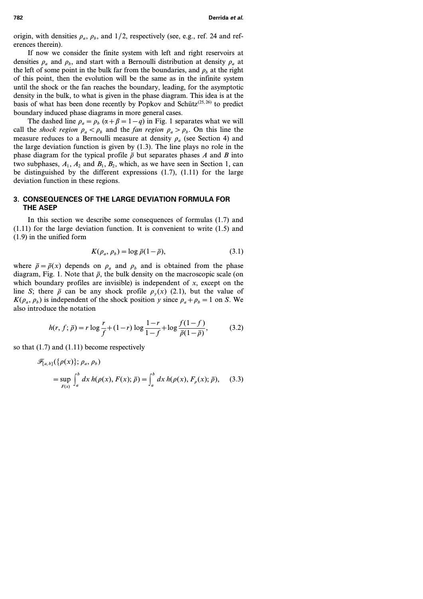origin, with densities  $\rho_a$ ,  $\rho_b$ , and 1/2, respectively (see, e.g., ref. 24 and references therein).

If now we consider the finite system with left and right reservoirs at densities  $\rho_a$  and  $\rho_b$ , and start with a Bernoulli distribution at density  $\rho_a$  at the left of some point in the bulk far from the boundaries, and  $\rho_b$  at the right of this point, then the evolution will be the same as in the infinite system until the shock or the fan reaches the boundary, leading, for the asymptotic density in the bulk, to what is given in the phase diagram. This idea is at the basis of what has been done recently by Popkov and Schütz<sup> $(25, 26)$ </sup> to predict boundary induced phase diagrams in more general cases.

The dashed line  $\rho_a = \rho_b$  ( $\alpha + \beta = 1 - q$ ) in Fig. 1 separates what we will call the *shock region*  $\rho_a < \rho_b$  and the *fan region*  $\rho_a > \rho_b$ . On this line the measure reduces to a Bernoulli measure at density  $\rho_a$  (see Section 4) and the large deviation function is given by (1.3). The line plays no role in the phase diagram for the typical profile  $\bar{\rho}$  but separates phases *A* and *B* into two subphases,  $A_1$ ,  $A_2$  and  $B_1$ ,  $B_2$ , which, as we have seen in Section 1, can be distinguished by the different expressions  $(1.7)$ ,  $(1.11)$  for the large deviation function in these regions.

# **3. CONSEQUENCES OF THE LARGE DEVIATION FORMULA FOR THE ASEP**

In this section we describe some consequences of formulas (1.7) and (1.11) for the large deviation function. It is convenient to write (1.5) and (1.9) in the unified form

$$
K(\rho_a, \rho_b) = \log \bar{\rho}(1-\bar{\rho}), \qquad (3.1)
$$

where  $\bar{\rho} = \bar{\rho}(x)$  depends on  $\rho_a$  and  $\rho_b$  and is obtained from the phase diagram, Fig. 1. Note that  $\bar{\rho}$ , the bulk density on the macroscopic scale (on which boundary profiles are invisible) is independent of *x*, except on the line *S*; there  $\bar{\rho}$  can be any shock profile  $\rho_{\nu}(x)$  (2.1), but the value of  $K(\rho_a, \rho_b)$  is independent of the shock position *y* since  $\rho_a + \rho_b = 1$  on *S*. We also introduce the notation

$$
h(r, f; \bar{\rho}) = r \log \frac{r}{f} + (1 - r) \log \frac{1 - r}{1 - f} + \log \frac{f(1 - f)}{\bar{\rho}(1 - \bar{\rho})},
$$
(3.2)

so that (1.7) and (1.11) become respectively

$$
\mathscr{F}_{[a,b]}(\{\rho(x)\};\rho_a,\rho_b)
$$
  
= 
$$
\sup_{F(x)} \int_a^b dx \, h(\rho(x),F(x);\bar{\rho}) = \int_a^b dx \, h(\rho(x),F_{\rho}(x);\bar{\rho}), \quad (3.3)
$$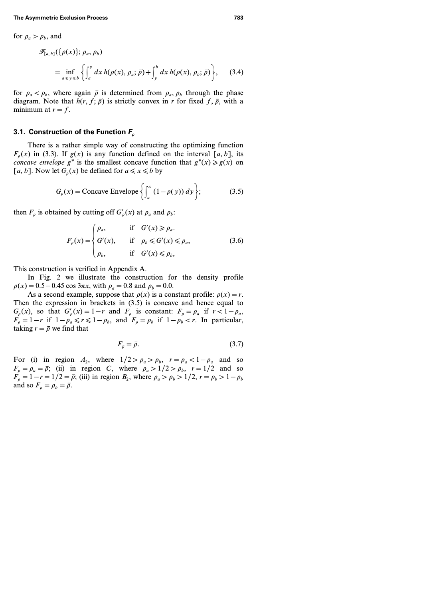for 
$$
\rho_a > \rho_b
$$
, and  
\n
$$
\mathcal{F}_{[a,b]}(\{\rho(x)\}; \rho_a, \rho_b)
$$
\n
$$
= \inf_{a \le y \le b} \left\{ \int_a^y dx \, h(\rho(x), \rho_a; \bar{\rho}) + \int_y^b dx \, h(\rho(x), \rho_b; \bar{\rho}) \right\}, \quad (3.4)
$$

for  $\rho_a < \rho_b$ , where again  $\bar{\rho}$  is determined from  $\rho_a$ ,  $\rho_b$  through the phase diagram. Note that  $h(r, f; \bar{\rho})$  is strictly convex in *r* for fixed  $f, \bar{\rho}$ , with a minimum at  $r = f$ .

### **3.1. Construction of the Function** *F<sup>r</sup>*

There is a rather simple way of constructing the optimizing function  $F_{n}(x)$  in (3.3). If  $g(x)$  is any function defined on the interval  $[a, b]$ , its *concave envelope*  $g^*$  is the smallest concave function that  $g^*(x) \ge g(x)$  on [a, b]. Now let  $G<sub>a</sub>(x)$  be defined for  $a \le x \le b$  by

$$
G_{\rho}(x) = \text{Concave Envelope} \left\{ \int_{a}^{x} (1 - \rho(y)) \, dy \right\};\tag{3.5}
$$

then  $F_{\rho}$  is obtained by cutting off  $G'_{\rho}(x)$  at  $\rho_a$  and  $\rho_b$ :

$$
F_{\rho}(x) = \begin{cases} \rho_a, & \text{if } G'(x) \ge \rho_a. \\ G'(x), & \text{if } \rho_b \le G'(x) \le \rho_a, \\ \rho_b, & \text{if } G'(x) \le \rho_b, \end{cases}
$$
(3.6)

This construction is verified in Appendix A.

In Fig. 2 we illustrate the construction for the density profile  $\rho(x) = 0.5 - 0.45 \cos 3\pi x$ , with  $\rho_a = 0.8$  and  $\rho_b = 0.0$ .

As a second example, suppose that  $\rho(x)$  is a constant profile:  $\rho(x) = r$ . Then the expression in brackets in (3.5) is concave and hence equal to  $G_{\rho}(x)$ , so that  $G'_{\rho}(x) = 1 - r$  and  $F_{\rho}$  is constant:  $F_{\rho} = \rho_a$  if  $r < 1 - \rho_a$ ,  $F_p = 1 - r$  if  $1 - \rho_a \le r \le 1 - \rho_b$ , and  $F_p = \rho_b$  if  $1 - \rho_b < r$ . In particular, taking  $r = \overline{\rho}$  we find that

$$
F_{\bar{\rho}} = \bar{\rho}.\tag{3.7}
$$

For (i) in region  $A_2$ , where  $1/2 > \rho_a > \rho_b$ ,  $r = \rho_a < 1 - \rho_a$  and so  $F_p = \rho_a = \bar{\rho}$ ; (ii) in region *C*, where  $\rho_a > 1/2 > \rho_b$ ,  $r = 1/2$  and so  $F_p = 1 - r = 1/2 = \bar{p}$ ; (iii) in region  $B_2$ , where  $\rho_a > \rho_b > 1/2$ ,  $r = \rho_b > 1 - \rho_b$ and so  $F_p = \rho_b = \bar{\rho}$ .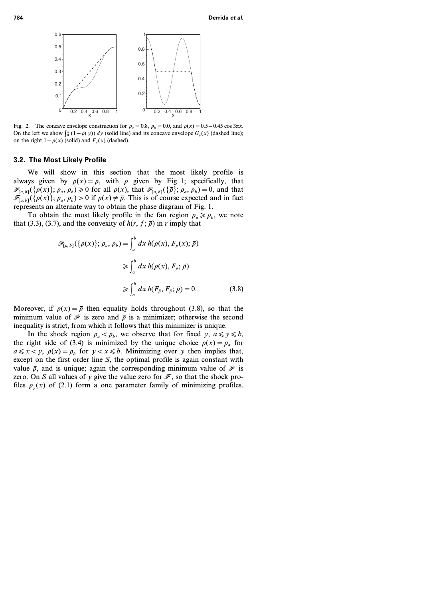

Fig. 2. The concave envelope construction for  $\rho_a = 0.8$ ,  $\rho_b = 0.0$ , and  $\rho(x) = 0.5 - 0.45 \cos 3\pi x$ . On the left we show  $\int_0^x (1 - \rho(y)) dy$  (solid line) and its concave envelope  $G_\rho(x)$  (dashed line); on the right  $1 - \rho(x)$  (solid) and  $F_a(x)$  (dashed).

#### **3.2. The Most Likely Profile**

We will show in this section that the most likely profile is always given by  $\rho(x) = \bar{\rho}$ , with  $\bar{\rho}$  given by Fig. 1; specifically, that  $\mathscr{F}_{[a,b]}(\{\rho(x)\};\rho_a,\rho_b)\geq 0$  for all  $\rho(x)$ , that  $\mathscr{F}_{[a,b]}(\{\overline{\rho}\};\rho_a,\rho_b)=0$ , and that  $\mathscr{F}_{[a,b]}(\{\rho(x)\}; p_a, p_b) > 0$  if  $\rho(x) \neq \overline{\rho}$ . This is of course expected and in fact represents an alternate way to obtain the phase diagram of Fig. 1.

To obtain the most likely profile in the fan region  $\rho_a \ge \rho_b$ , we note that (3.3), (3.7), and the convexity of  $h(r, f; \bar{\rho})$  in *r* imply that

$$
\mathscr{F}_{[a,b]}(\{\rho(x)\};\rho_a,\rho_b) = \int_a^b dx \, h(\rho(x),F_\rho(x);\,\bar{\rho})
$$

$$
\geqslant \int_a^b dx \, h(\rho(x),F_{\bar{\rho}};\,\bar{\rho})
$$

$$
\geqslant \int_a^b dx \, h(F_{\bar{\rho}},F_{\bar{\rho}};\,\bar{\rho}) = 0. \tag{3.8}
$$

Moreover, if  $\rho(x) = \bar{\rho}$  then equality holds throughout (3.8), so that the minimum value of  $\mathcal F$  is zero and  $\bar{\rho}$  is a minimizer; otherwise the second inequality is strict, from which it follows that this minimizer is unique.

In the shock region  $\rho_a < \rho_b$ , we observe that for fixed *y*,  $a \le y \le b$ , the right side of (3.4) is minimized by the unique choice  $\rho(x) = \rho_a$  for  $a \le x < y$ ,  $\rho(x) = \rho_b$  for  $y < x \le b$ . Minimizing over *y* then implies that, except on the first order line *S*, the optimal profile is again constant with value  $\bar{p}$ , and is unique; again the corresponding minimum value of  $\mathcal F$  is zero. On *S* all values of *y* give the value zero for  $\mathcal{F}$ , so that the shock profiles  $\rho_{\nu}(x)$  of (2.1) form a one parameter family of minimizing profiles.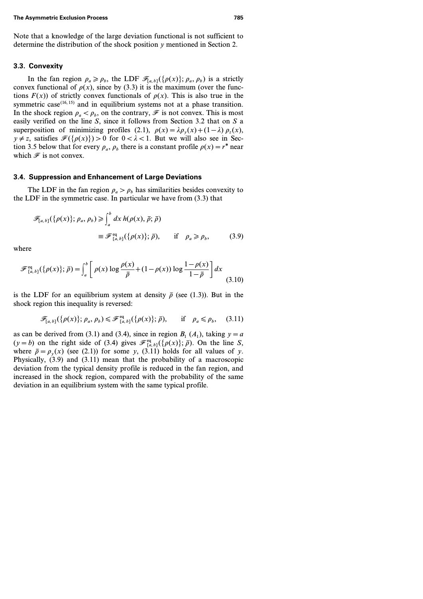Note that a knowledge of the large deviation functional is not sufficient to determine the distribution of the shock position *y* mentioned in Section 2.

### **3.3. Convexity**

In the fan region  $\rho_a \ge \rho_b$ , the LDF  $\mathcal{F}_{[a,b]}(\{\rho(x)\}; \rho_a, \rho_b)$  is a strictly convex functional of  $\rho(x)$ , since by (3.3) it is the maximum (over the functions  $F(x)$  of strictly convex functionals of  $\rho(x)$ . This is also true in the symmetric case<sup> $(16, 15)$ </sup> and in equilibrium systems not at a phase transition. In the shock region  $\rho_a < \rho_b$ , on the contrary,  $\mathscr F$  is not convex. This is most easily verified on the line *S*, since it follows from Section 3.2 that on *S* a superposition of minimizing profiles (2.1),  $\rho(x) = \lambda \rho_v(x) + (1 - \lambda) \rho_z(x)$ ,  $y \neq z$ , satisfies  $\mathcal{F}({\rho(x)}) > 0$  for  $0 < \lambda < 1$ . But we will also see in Section 3.5 below that for every  $\rho_a$ ,  $\rho_b$  there is a constant profile  $\rho(x) = r^*$  near which  $\mathcal F$  is not convex.

#### **3.4. Suppression and Enhancement of Large Deviations**

The LDF in the fan region  $\rho_a > \rho_b$  has similarities besides convexity to the LDF in the symmetric case. In particular we have from (3.3) that

$$
\mathcal{F}_{[a,b]}(\{\rho(x)\};\rho_a,\rho_b) \geq \int_a^b dx \, h(\rho(x),\,\overline{\rho};\,\overline{\rho})
$$
  

$$
\equiv \mathcal{F}_{[a,b]}^{\text{eq}}(\{\rho(x)\};\,\overline{\rho}), \qquad \text{if} \quad \rho_a \geq \rho_b, \tag{3.9}
$$

where

$$
\mathscr{F}_{[a,b]}^{\text{eq}}(\{\rho(x)\};\bar{\rho}) = \int_{a}^{b} \left[ \rho(x) \log \frac{\rho(x)}{\bar{\rho}} + (1 - \rho(x)) \log \frac{1 - \rho(x)}{1 - \bar{\rho}} \right] dx \tag{3.10}
$$

is the LDF for an equilibrium system at density  $\bar{\rho}$  (see (1.3)). But in the shock region this inequality is reversed:

$$
\mathscr{F}_{[a,b]}(\{\rho(x)\};\rho_a,\rho_b) \leq \mathscr{F}_{[a,b]}^{\text{eq}}(\{\rho(x)\};\bar{\rho}), \quad \text{if} \quad \rho_a \leq \rho_b, \quad (3.11)
$$

as can be derived from (3.1) and (3.4), since in region  $B_1(A_1)$ , taking  $y=a$  $(y = b)$  on the right side of (3.4) gives  $\mathcal{F}_{[a, b]}^{eq}(\{\rho(x)\}; \bar{\rho})$ . On the line *S*, where  $\bar{\rho} = \rho_y(x)$  (see (2.1)) for some *y*, (3.11) holds for all values of *y*. Physically, (3.9) and (3.11) mean that the probability of a macroscopic deviation from the typical density profile is reduced in the fan region, and increased in the shock region, compared with the probability of the same deviation in an equilibrium system with the same typical profile.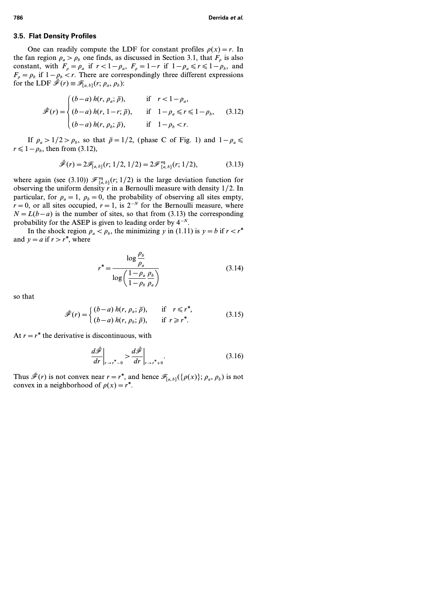### **3.5. Flat Density Profiles**

One can readily compute the LDF for constant profiles  $\rho(x) = r$ . In the fan region  $\rho_a > \rho_b$  one finds, as discussed in Section 3.1, that  $F_\rho$  is also constant, with  $F_{\rho} = \rho_a$  if  $r < 1 - \rho_a$ ,  $F_{\rho} = 1 - r$  if  $1 - \rho_a \le r \le 1 - \rho_b$ , and  $F_p = \rho_b$  if  $1 - \rho_b < r$ . There are correspondingly three different expressions for the LDF  $\hat{\mathcal{F}}(r) \equiv \mathcal{F}_{[a, b]}(r; \rho_a, \rho_b)$ :

$$
\hat{\mathscr{F}}(r) = \begin{cases}\n(b-a) h(r, \rho_a; \bar{\rho}), & \text{if } r < 1 - \rho_a, \\
(b-a) h(r, 1-r; \bar{\rho}), & \text{if } 1 - \rho_a \le r \le 1 - \rho_b, \\
(b-a) h(r, \rho_b; \bar{\rho}), & \text{if } 1 - \rho_b < r.\n\end{cases}
$$
\n(3.12)

If  $\rho_a > 1/2 > \rho_b$ , so that  $\bar{\rho} = 1/2$ , (phase C of Fig. 1) and  $1 - \rho_a \le$  $r \leq 1 - \rho_b$ , then from (3.12),

$$
\hat{\mathscr{F}}(r) = 2\mathscr{F}_{[a,b]}(r; 1/2, 1/2) = 2\mathscr{F}_{[a,b]}^{\text{eq}}(r; 1/2), \tag{3.13}
$$

where again (see (3.10))  $\mathcal{F}_{[a,b]}^{\text{eq}}(r;1/2)$  is the large deviation function for observing the uniform density *r* in a Bernoulli measure with density *1/2*. In particular, for  $\rho_a = 1$ ,  $\rho_b = 0$ , the probability of observing all sites empty,  $r=0$ , or all sites occupied,  $r=1$ , is  $2^{-N}$  for the Bernoulli measure, where  $N = L(b - a)$  is the number of sites, so that from (3.13) the corresponding probability for the ASEP is given to leading order by *4 −N*.

In the shock region  $\rho_a < \rho_b$ , the minimizing *y* in (1.11) is  $y = b$  if  $r < r^*$ and  $y = a$  if  $r > r^*$ , where

$$
r^* = \frac{\log \frac{\rho_b}{\rho_a}}{\log \left(\frac{1 - \rho_a}{1 - \rho_b} \frac{\rho_b}{\rho_a}\right)}
$$
(3.14)

so that

$$
\hat{\mathscr{F}}(r) = \begin{cases} (b-a) \, h(r, \, \rho_a; \, \bar{\rho}), & \text{if } r \leq r^*, \\ (b-a) \, h(r, \, \rho_b; \, \bar{\rho}), & \text{if } r \geq r^*. \end{cases} \tag{3.15}
$$

At  $r=r^*$  the derivative is discontinuous, with

$$
\left. \frac{d\hat{\mathcal{F}}}{dr} \right|_{r \to r^*-0} > \left. \frac{d\hat{\mathcal{F}}}{dr} \right|_{r \to r^*-0}.
$$
\n(3.16)

Thus  $\hat{\mathcal{F}}(r)$  is not convex near  $r = r^*$ , and hence  $\mathcal{F}_{[a, b]}(\{\rho(x)\}; \rho_a, \rho_b)$  is not convex in a neighborhood of  $\rho(x) = r^*$ .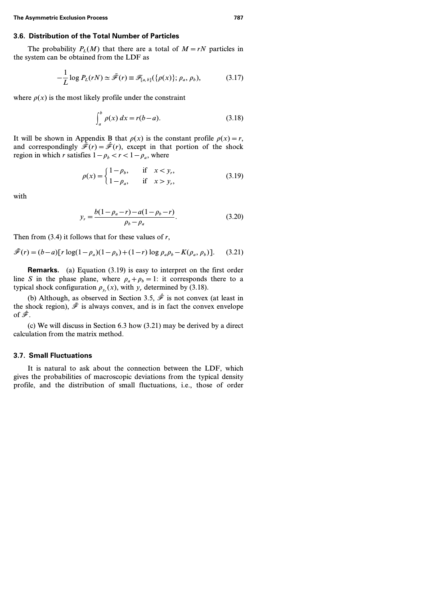### **3.6. Distribution of the Total Number of Particles**

The probability  $P_L(M)$  that there are a total of  $M = rN$  particles in the system can be obtained from the LDF as

$$
-\frac{1}{L}\log P_L(rN) \simeq \tilde{\mathcal{F}}(r) \equiv \mathcal{F}_{[a,b]}(\{\rho(x)\};\rho_a,\rho_b),\tag{3.17}
$$

where  $\rho(x)$  is the most likely profile under the constraint

$$
\int_{a}^{b} \rho(x) \, dx = r(b-a). \tag{3.18}
$$

It will be shown in Appendix B that  $\rho(x)$  is the constant profile  $\rho(x) = r$ , and correspondingly  $\tilde{\mathcal{F}}(r)=\hat{\mathcal{F}}(r)$ , except in that portion of the shock region in which *r* satisfies  $1 - \rho_h < r < 1 - \rho_a$ , where

$$
\rho(x) = \begin{cases} 1 - \rho_b, & \text{if } x < y_r, \\ 1 - \rho_a, & \text{if } x > y_r, \end{cases}
$$
(3.19)

with

$$
y_r = \frac{b(1 - \rho_a - r) - a(1 - \rho_b - r)}{\rho_b - \rho_a}.
$$
\n(3.20)

Then from (3.4) it follows that for these values of *r*,

$$
\tilde{\mathcal{F}}(r) = (b-a)[r \log(1-\rho_a)(1-\rho_b) + (1-r) \log \rho_a \rho_b - K(\rho_a, \rho_b)].
$$
 (3.21)

**Remarks.** (a) Equation (3.19) is easy to interpret on the first order line *S* in the phase plane, where  $\rho_a + \rho_b = 1$ : it corresponds there to a typical shock configuration  $\rho_{v_r}(x)$ , with  $y_r$  determined by (3.18).

(b) Although, as observed in Section 3.5,  $\hat{\mathcal{F}}$  is not convex (at least in the shock region),  $\tilde{\mathcal{F}}$  is always convex, and is in fact the convex envelope of  $\hat{\mathscr{F}}$ .

(c) We will discuss in Section 6.3 how (3.21) may be derived by a direct calculation from the matrix method.

#### **3.7. Small Fluctuations**

It is natural to ask about the connection between the LDF, which gives the probabilities of macroscopic deviations from the typical density profile, and the distribution of small fluctuations, i.e., those of order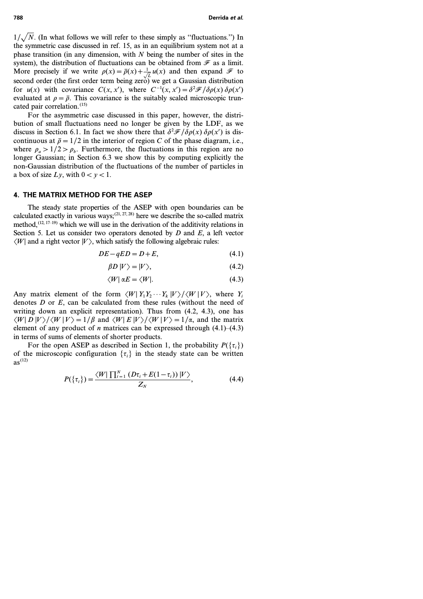$1/\sqrt{N}$ . (In what follows we will refer to these simply as "fluctuations.") In the symmetric case discussed in ref. 15, as in an equilibrium system not at a phase transition (in any dimension, with *N* being the number of sites in the system), the distribution of fluctuations can be obtained from  $\mathcal F$  as a limit. More precisely if we write  $\rho(x) = \bar{\rho}(x) + \frac{1}{\sqrt{L}} u(x)$  and then expand  $\mathcal F$  to second order (the first order term being zero) we get a Gaussian distribution for *u*(*x*) with covariance  $C(x, x')$ , where  $C^{-1}(x, x') = \frac{\partial^2 \mathcal{F}}{\partial \rho(x)} \frac{\partial \rho(x')}{\partial x'}$ evaluated at  $\rho = \bar{\rho}$ . This covariance is the suitably scaled microscopic truncated pair correlation.<sup>(15)</sup>

For the asymmetric case discussed in this paper, however, the distribution of small fluctuations need no longer be given by the LDF, as we discuss in Section 6.1. In fact we show there that  $\frac{\partial^2 \mathcal{F}}{\partial \rho(x)} \frac{\partial \rho(x)}{\partial x}$  is discontinuous at  $\bar{p} = 1/2$  in the interior of region *C* of the phase diagram, i.e., where  $\rho_a > 1/2 > \rho_b$ . Furthermore, the fluctuations in this region are no longer Gaussian; in Section 6.3 we show this by computing explicitly the non-Gaussian distribution of the fluctuations of the number of particles in a box of size  $Lv$ , with  $0 < y < 1$ .

## **4. THE MATRIX METHOD FOR THE ASEP**

The steady state properties of the ASEP with open boundaries can be calculated exactly in various ways;<sup>(21, 27, 28)</sup> here we describe the so-called matrix method, $(12, 17-19)$  which we will use in the derivation of the additivity relations in Section 5. Let us consider two operators denoted by *D* and *E*, a left vector  $\langle W|$  and a right vector  $|V\rangle$ , which satisfy the following algebraic rules:

$$
DE - qED = D + E,\t\t(4.1)
$$

$$
\beta D |V\rangle = |V\rangle, \tag{4.2}
$$

$$
\langle W | \alpha E = \langle W |.
$$
 (4.3)

Any matrix element of the form  $\langle W | Y_1 Y_2 \cdots Y_k | V \rangle / \langle W | V \rangle$ , where  $Y_i$ denotes *D* or *E*, can be calculated from these rules (without the need of writing down an explicit representation). Thus from (4.2, 4.3), one has  $\langle W|D|V\rangle/\langle W|V\rangle=1/\beta$  and  $\langle W|E|V\rangle/\langle W|V\rangle=1/\alpha$ , and the matrix element of any product of *n* matrices can be expressed through  $(4.1)$ – $(4.3)$ in terms of sums of elements of shorter products.

For the open ASEP as described in Section 1, the probability  $P({\tau_i})$ of the microscopic configuration  $\{\tau_i\}$  in the steady state can be written  $as^{(12)}$ 

$$
P(\{\tau_i\}) = \frac{\langle W | \prod_{i=1}^{N} (D\tau_i + E(1-\tau_i)) | V \rangle}{Z_N}, \tag{4.4}
$$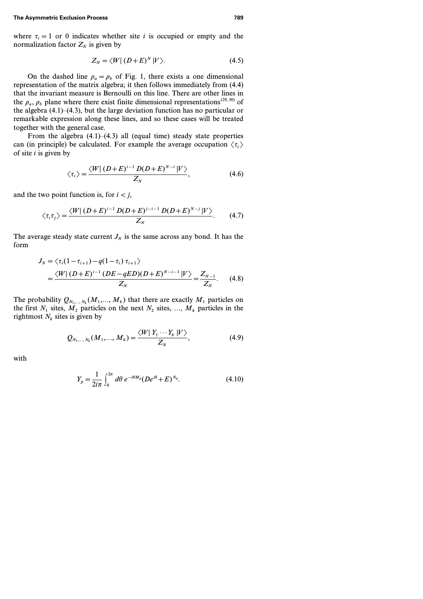where  $\tau_i = 1$  or 0 indicates whether site *i* is occupied or empty and the normalization factor  $Z_N$  is given by

$$
Z_N = \langle W | (D+E)^N | V \rangle. \tag{4.5}
$$

On the dashed line  $\rho_a = \rho_b$  of Fig. 1, there exists a one dimensional representation of the matrix algebra; it then follows immediately from (4.4) that the invariant measure is Bernoulli on this line. There are other lines in the  $\rho_a$ ,  $\rho_b$  plane where there exist finite dimensional representations<sup>(29, 30)</sup> of the algebra (4.1)–(4.3), but the large deviation function has no particular or remarkable expression along these lines, and so these cases will be treated together with the general case.

From the algebra  $(4.1)$ – $(4.3)$  all (equal time) steady state properties can (in principle) be calculated. For example the average occupation  $\langle \tau_i \rangle$ of site *i* is given by

$$
\langle \tau_i \rangle = \frac{\langle W | (D+E)^{i-1} D(D+E)^{N-i} | V \rangle}{Z_N}, \tag{4.6}
$$

and the two point function is, for  $i < j$ ,

$$
\langle \tau_i \tau_j \rangle = \frac{\langle W | (D+E)^{i-1} D(D+E)^{j-i-1} D(D+E)^{N-j} | V \rangle}{Z_N}.
$$
 (4.7)

The average steady state current  $J_N$  is the same across any bond. It has the form

$$
J_N = \langle \tau_i (1 - \tau_{i+1}) - q(1 - \tau_i) \tau_{i+1} \rangle
$$
  
= 
$$
\frac{\langle W | (D + E)^{i-1} (DE - qED)(D + E)^{N-i-1} | V \rangle}{Z_N} = \frac{Z_{N-1}}{Z_N}.
$$
 (4.8)

The probability  $Q_{N_1,\dots,N_k}(M_1,\dots,M_k)$  that there are exactly  $M_1$  particles on the first  $N_1$  sites,  $M_2$  particles on the next  $N_2$  sites, ...,  $M_k$  particles in the rightmost  $N_k$  sites is given by

$$
Q_{N_1,\dots,N_k}(M_1,\dots,M_k) = \frac{\langle W | Y_1 \cdots Y_k | V \rangle}{Z_N},
$$
\n(4.9)

with

$$
Y_{p} = \frac{1}{2i\pi} \int_{0}^{2\pi} d\theta \ e^{-i\theta M_{p}} (De^{i\theta} + E)^{N_{p}}.
$$
 (4.10)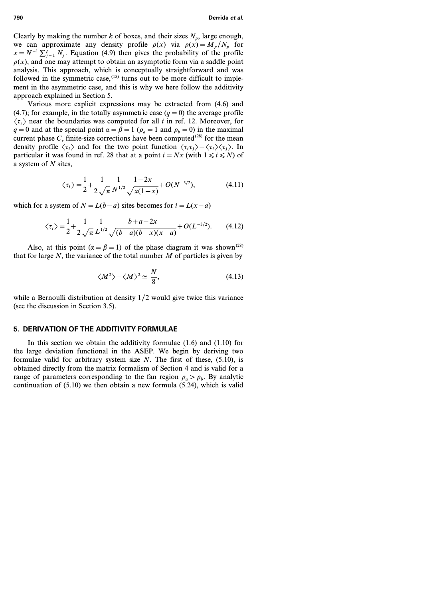Clearly by making the number  $k$  of boxes, and their sizes  $N_p$ , large enough, we can approximate any density profile  $\rho(x)$  via  $\rho(x) = M_p/N_p$  for  $x = N^{-1} \sum_{j=1}^{p} N_j$ . Equation (4.9) then gives the probability of the profile  $p(x)$ , and one may attempt to obtain an asymptotic form via a saddle point analysis. This approach, which is conceptually straightforward and was followed in the symmetric case,  $(15)$  turns out to be more difficult to implement in the asymmetric case, and this is why we here follow the additivity approach explained in Section 5.

Various more explicit expressions may be extracted from (4.6) and (4.7); for example, in the totally asymmetric case  $(q=0)$  the average profile  $\langle \tau_i \rangle$  near the boundaries was computed for all *i* in ref. 12. Moreover, for *q* = 0 and at the special point  $\alpha = \beta = 1$  ( $\rho_a = 1$  and  $\rho_b = 0$ ) in the maximal current phase *C*, finite-size corrections have been computed<sup>(28)</sup> for the mean density profile  $\langle \tau_i \rangle$  and for the two point function  $\langle \tau_i \tau_i \rangle - \langle \tau_i \rangle \langle \tau_i \rangle$ . In particular it was found in ref. 28 that at a point  $i = Nx$  (with  $1 \le i \le N$ ) of a system of *N* sites,

$$
\langle \tau_i \rangle = \frac{1}{2} + \frac{1}{2\sqrt{\pi}} \frac{1}{N^{1/2}} \frac{1 - 2x}{\sqrt{x(1 - x)}} + O(N^{-3/2}),
$$
 (4.11)

which for a system of  $N = L(b - a)$  sites becomes for  $i = L(x - a)$ 

$$
\langle \tau_i \rangle = \frac{1}{2} + \frac{1}{2\sqrt{\pi}} \frac{1}{L^{1/2}} \frac{b + a - 2x}{\sqrt{(b - a)(b - x)(x - a)}} + O(L^{-3/2}).
$$
 (4.12)

Also, at this point ( $\alpha = \beta = 1$ ) of the phase diagram it was shown<sup>(28)</sup> that for large *N*, the variance of the total number *M* of particles is given by

$$
\langle M^2 \rangle - \langle M \rangle^2 \simeq \frac{N}{8},\tag{4.13}
$$

while a Bernoulli distribution at density *1/2* would give twice this variance (see the discussion in Section 3.5).

# **5. DERIVATION OF THE ADDITIVITY FORMULAE**

In this section we obtain the additivity formulae (1.6) and (1.10) for the large deviation functional in the ASEP. We begin by deriving two formulae valid for arbitrary system size *N*. The first of these, (5.10), is obtained directly from the matrix formalism of Section 4 and is valid for a range of parameters corresponding to the fan region  $\rho_a > \rho_b$ . By analytic continuation of (5.10) we then obtain a new formula (5.24), which is valid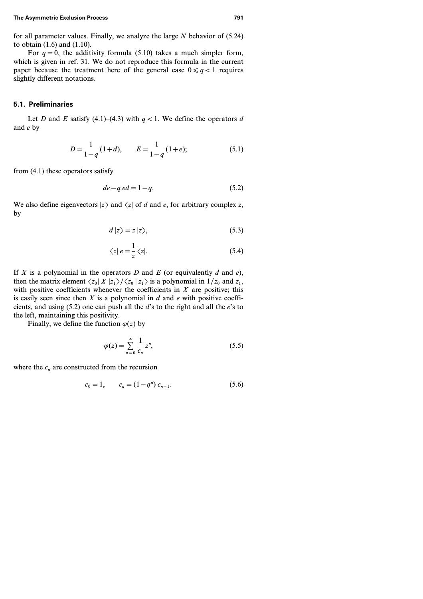for all parameter values. Finally, we analyze the large *N* behavior of (5.24) to obtain (1.6) and (1.10).

For  $q=0$ , the additivity formula (5.10) takes a much simpler form, which is given in ref. 31. We do not reproduce this formula in the current paper because the treatment here of the general case  $0 \leq q < 1$  requires slightly different notations.

#### **5.1. Preliminaries**

Let *D* and *E* satisfy (4.1)–(4.3) with  $q < 1$ . We define the operators *d* and *e* by

$$
D = \frac{1}{1-q} (1+d), \qquad E = \frac{1}{1-q} (1+e); \tag{5.1}
$$

from (4.1) these operators satisfy

$$
de - q \, ed = 1 - q. \tag{5.2}
$$

We also define eigenvectors  $|z\rangle$  and  $\langle z|$  of *d* and *e*, for arbitrary complex *z*, by

$$
d\left|z\right\rangle = z\left|z\right\rangle,\tag{5.3}
$$

$$
\langle z|e=\frac{1}{z}\langle z|. \tag{5.4}
$$

If *X* is a polynomial in the operators *D* and *E* (or equivalently *d* and  $e$ ), then the matrix element  $\langle z_0 | X | z_1 \rangle / \langle z_0 | z_1 \rangle$  is a polynomial in  $1/z_0$  and  $z_1$ , with positive coefficients whenever the coefficients in *X* are positive; this is easily seen since then *X* is a polynomial in *d* and *e* with positive coefficients, and using (5.2) one can push all the *d*'s to the right and all the *e*'s to the left, maintaining this positivity.

Finally, we define the function  $\varphi(z)$  by

$$
\varphi(z) = \sum_{n=0}^{\infty} \frac{1}{c_n} z^n,\tag{5.5}
$$

where the  $c_n$  are constructed from the recursion

$$
c_0 = 1, \qquad c_n = (1 - q^n) \, c_{n-1}.\tag{5.6}
$$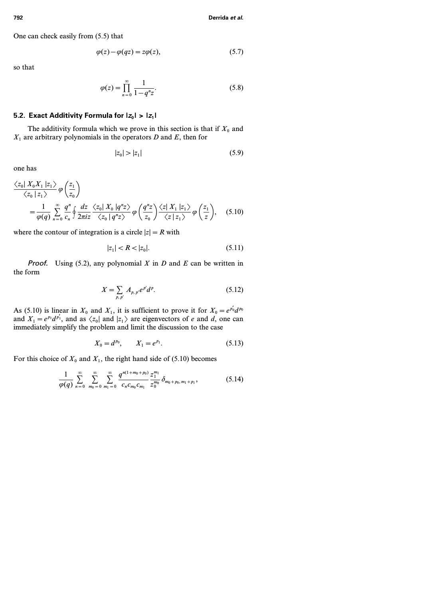One can check easily from (5.5) that

$$
\varphi(z) - \varphi(qz) = z\varphi(z),\tag{5.7}
$$

so that

$$
\varphi(z) = \prod_{n=0}^{\infty} \frac{1}{1 - q^n z}.
$$
\n(5.8)

### **5.2. Exact Additivity Formula for**  $|z_0| > |z_1|$

The additivity formula which we prove in this section is that if  $X_0$  and *X<sup>1</sup>* are arbitrary polynomials in the operators *D* and *E*, then for

$$
|z_0| > |z_1| \tag{5.9}
$$

one has

$$
\frac{\langle z_0 | X_0 X_1 | z_1 \rangle}{\langle z_0 | z_1 \rangle} \varphi \left( \frac{z_1}{z_0} \right)
$$
  
= 
$$
\frac{1}{\varphi(q)} \sum_{n=0}^{\infty} \frac{q^n}{c_n} \oint \frac{dz}{2\pi i z} \frac{\langle z_0 | X_0 | q^n z \rangle}{\langle z_0 | q^n z \rangle} \varphi \left( \frac{q^n z}{z_0} \right) \frac{\langle z | X_1 | z_1 \rangle}{\langle z | z_1 \rangle} \varphi \left( \frac{z_1}{z} \right), \quad (5.10)
$$

where the contour of integration is a circle  $|z| = R$  with

$$
|z_1| < R < |z_0|.\tag{5.11}
$$

Proof. Using (5.2), any polynomial *X* in *D* and *E* can be written in the form

$$
X = \sum_{p, p'} A_{p, p'} e^{p'} d^p.
$$
 (5.12)

As (5.10) is linear in  $X_0$  and  $X_1$ , it is sufficient to prove it for  $X_0 = e^{p_0'}d^{p_0}$ and  $X_1 = e^{p_1}d^{p'_1}$ , and as  $\langle z_0 |$  and  $|z_1 \rangle$  are eigenvectors of *e* and *d*, one can immediately simplify the problem and limit the discussion to the case

$$
X_0 = d^{p_0}, \qquad X_1 = e^{p_1}.\tag{5.13}
$$

For this choice of  $X_0$  and  $X_1$ , the right hand side of (5.10) becomes

$$
\frac{1}{\varphi(q)}\sum_{n=0}^{\infty}\sum_{m_0=0}^{\infty}\sum_{m_1=0}^{\infty}\frac{q^{n(1+m_0+p_0)}}{c_n c_{m_0} c_{m_1}}\frac{z_1^{m_1}}{z_0^{m_0}}\delta_{m_0+p_0,m_1+p_1},\qquad(5.14)
$$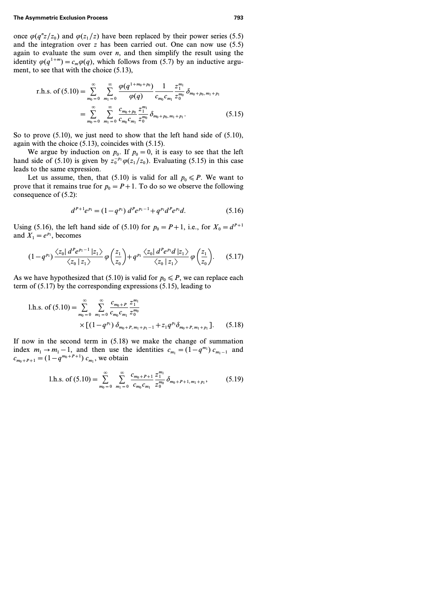once  $\varphi(q^n z/z_0)$  and  $\varphi(z_1/z)$  have been replaced by their power series (5.5) and the integration over *z* has been carried out. One can now use (5.5) again to evaluate the sum over  $n$ , and then simplify the result using the identity  $\varphi(q^{1+m}) = c_m \varphi(q)$ , which follows from (5.7) by an inductive argument, to see that with the choice (5.13),

r.h.s. of (5.10) = 
$$
\sum_{m_0=0}^{\infty} \sum_{m_1=0}^{\infty} \frac{\varphi(q^{1+m_0+p_0})}{\varphi(q)} \frac{1}{c_{m_0}c_{m_1}} \frac{z_1^{m_1}}{z_0^{m_0}} \delta_{m_0+p_0, m_1+p_1}
$$
  
= 
$$
\sum_{m_0=0}^{\infty} \sum_{m_1=0}^{\infty} \frac{c_{m_0+p_0}}{c_{m_0}c_{m_1}} \frac{z_1^{m_1}}{z_0^{m_0}} \delta_{m_0+p_0, m_1+p_1}.
$$
 (5.15)

So to prove  $(5.10)$ , we just need to show that the left hand side of  $(5.10)$ , again with the choice (5.13), coincides with (5.15).

We argue by induction on  $p_0$ . If  $p_0 = 0$ , it is easy to see that the left hand side of (5.10) is given by  $z_0^{-p_1}\varphi(z_1/z_0)$ . Evaluating (5.15) in this case leads to the same expression.

Let us assume, then, that (5.10) is valid for all  $p_0 \leq P$ . We want to prove that it remains true for  $p_0 = P + 1$ . To do so we observe the following consequence of (5.2):

$$
d^{P+1}e^{p_1} = (1 - q^{p_1}) d^P e^{p_1 - 1} + q^{p_1} d^P e^{p_1} d. \tag{5.16}
$$

Using (5.16), the left hand side of (5.10) for  $p_0 = P + 1$ , i.e., for  $X_0 = d^{P+1}$ and  $X_1 = e^{p_1}$ , becomes

$$
(1-q^{p_1})\frac{\langle z_0| \, d^P e^{p_1-1} \, |z_1\rangle}{\langle z_0 \, | \, z_1 \rangle} \varphi\left(\frac{z_1}{z_0}\right) + q^{p_1} \frac{\langle z_0| \, d^P e^{p_1} d \, |z_1\rangle}{\langle z_0 \, | \, z_1 \rangle} \varphi\left(\frac{z_1}{z_0}\right). \tag{5.17}
$$

As we have hypothesized that (5.10) is valid for  $p_0 \leq P$ , we can replace each term of (5.17) by the corresponding expressions (5.15), leading to

1.h.s. of (5.10) = 
$$
\sum_{m_0=0}^{\infty} \sum_{m_1=0}^{\infty} \frac{c_{m_0+P}}{c_{m_0}c_{m_1}} \frac{z_1^{m_1}}{z_0^{m_0}}
$$

$$
\times \left[ (1-q^{p_1}) \delta_{m_0+P, m_1+p_1-1} + z_1 q^{p_1} \delta_{m_0+P, m_1+p_1} \right].
$$
 (5.18)

If now in the second term in (5.18) we make the change of summation index  $m_1 \rightarrow m_1 - 1$ , and then use the identities  $c_{m_1} = (1 - q^{m_1}) c_{m_1 - 1}$  and  $c_{m_0+P+1} = (1 - q^{m_0+P+1}) c_{m_1}$ , we obtain

1.h.s. of (5.10) = 
$$
\sum_{m_0=0}^{\infty} \sum_{m_1=0}^{\infty} \frac{c_{m_0+P+1}}{c_{m_0}c_{m_1}} \frac{z_1^{m_1}}{z_0^{m_0}} \delta_{m_0+P+1, m_1+P_1},
$$
 (5.19)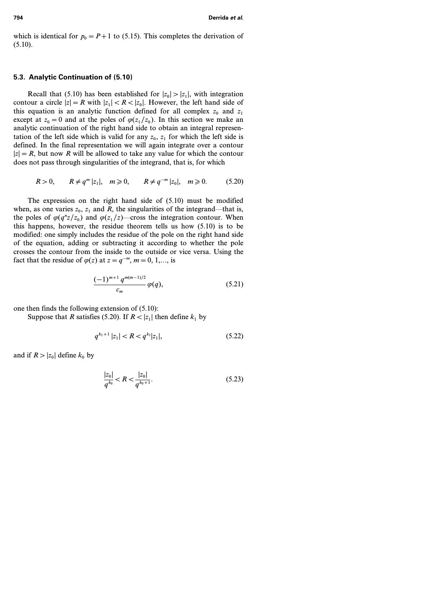which is identical for  $p_0 = P + 1$  to (5.15). This completes the derivation of  $(5.10).$ 

#### **5.3. Analytic Continuation of (5.10)**

Recall that (5.10) has been established for  $|z_0| > |z_1|$ , with integration contour a circle  $|z| = R$  with  $|z_1| < R < |z_0|$ . However, the left hand side of this equation is an analytic function defined for all complex  $z_0$  and  $z_1$ except at  $z_0 = 0$  and at the poles of  $\varphi(z_1/z_0)$ . In this section we make an analytic continuation of the right hand side to obtain an integral representation of the left side which is valid for any  $z_0$ ,  $z_1$  for which the left side is defined. In the final representation we will again integrate over a contour  $|z|=R$ , but now *R* will be allowed to take any value for which the contour does not pass through singularities of the integrand, that is, for which

$$
R > 0
$$
,  $R \neq q^m |z_1|$ ,  $m \ge 0$ ,  $R \neq q^{-m} |z_0|$ ,  $m \ge 0$ . (5.20)

The expression on the right hand side of (5.10) must be modified when, as one varies  $z_0$ ,  $z_1$  and  $R$ , the singularities of the integrand—that is, the poles of  $\varphi(q^n z/z_0)$  and  $\varphi(z_1/z)$ —cross the integration contour. When this happens, however, the residue theorem tells us how (5.10) is to be modified: one simply includes the residue of the pole on the right hand side of the equation, adding or subtracting it according to whether the pole crosses the contour from the inside to the outside or vice versa. Using the fact that the residue of  $\varphi(z)$  at  $z = q^{-m}$ ,  $m = 0, 1, \dots$ , is

$$
\frac{(-1)^{m+1}q^{m(m-1)/2}}{c_m}\varphi(q),\tag{5.21}
$$

one then finds the following extension of (5.10):

Suppose that *R* satisfies (5.20). If  $R < |z_1|$  then define  $k_1$  by

$$
q^{k_1+1} |z_1| < R < q^{k_1} |z_1|,\tag{5.22}
$$

and if  $R > |z_0|$  define  $k_0$  by

$$
\frac{|z_0|}{q^{k_0}} < R < \frac{|z_0|}{q^{k_0+1}}.\tag{5.23}
$$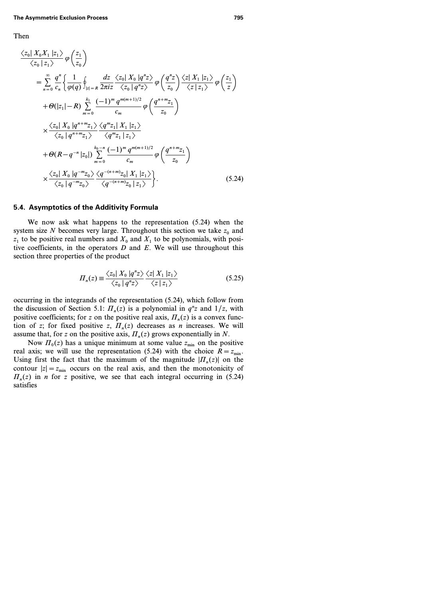### Then

$$
\frac{\langle z_0 | X_0 X_1 | z_1 \rangle}{\langle z_0 | z_1 \rangle} \varphi \left( \frac{z_1}{z_0} \right)
$$
\n
$$
= \sum_{n=0}^{\infty} \frac{q^n}{c_n} \left\{ \frac{1}{\varphi(q)} \oint_{|z|=R} \frac{dz}{2\pi i z} \frac{\langle z_0 | X_0 | q^n z \rangle}{\langle z_0 | q^n z \rangle} \varphi \left( \frac{q^n z}{z_0} \right) \frac{\langle z | X_1 | z_1 \rangle}{\langle z | z_1 \rangle} \varphi \left( \frac{z_1}{z} \right) \right\}
$$
\n
$$
+ \vartheta(|z_1| - R) \sum_{m=0}^{k_1} \frac{(-1)^m q^{m(m+1)/2}}{c_m} \varphi \left( \frac{q^{n+m} z_1}{z_0} \right)
$$
\n
$$
\times \frac{\langle z_0 | X_0 | q^{n+m} z_1 \rangle}{\langle z_0 | q^{n+m} z_1 \rangle} \frac{\langle q^m z_1 | X_1 | z_1 \rangle}{\langle q^m z_1 | z_1 \rangle}
$$
\n
$$
+ \vartheta(R - q^{-n} | z_0|) \sum_{m=0}^{k_0 - n} \frac{(-1)^m q^{m(m+1)/2}}{c_m} \varphi \left( \frac{q^{n+m} z_1}{z_0} \right)
$$
\n
$$
\times \frac{\langle z_0 | X_0 | q^{-m} z_0 \rangle}{\langle z_0 | q^{-m} z_0 \rangle} \frac{\langle q^{-(n+m)} z_0 | X_1 | z_1 \rangle}{\langle q^{-(n+m)} z_0 | z_1 \rangle}.
$$
\n(5.24)

### **5.4. Asymptotics of the Additivity Formula**

We now ask what happens to the representation (5.24) when the system size *N* becomes very large. Throughout this section we take  $z_0$  and  $\overline{z_1}$  to be positive real numbers and  $X_0$  and  $X_1$  to be polynomials, with positive coefficients, in the operators *D* and *E*. We will use throughout this section three properties of the product

$$
\Pi_n(z) \equiv \frac{\langle z_0 | X_0 | q^n z \rangle}{\langle z_0 | q^n z \rangle} \frac{\langle z | X_1 | z_1 \rangle}{\langle z | z_1 \rangle} \tag{5.25}
$$

occurring in the integrands of the representation (5.24), which follow from the discussion of Section 5.1:  $\Pi_n(z)$  is a polynomial in  $q^n z$  and  $1/z$ , with positive coefficients; for *z* on the positive real axis,  $\Pi_n(z)$  is a convex function of *z*; for fixed positive *z*,  $\Pi_n(z)$  decreases as *n* increases. We will assume that, for *z* on the positive axis,  $\Pi_n(z)$  grows exponentially in N.

Now  $\Pi_0(z)$  has a unique minimum at some value  $z_{\text{min}}$  on the positive real axis; we will use the representation (5.24) with the choice  $R = z_{min}$ . Using first the fact that the maximum of the magnitude  $|H_n(z)|$  on the contour  $|z| = z_{\text{min}}$  occurs on the real axis, and then the monotonicity of  $\Pi_n(z)$  in *n* for *z* positive, we see that each integral occurring in (5.24) satisfies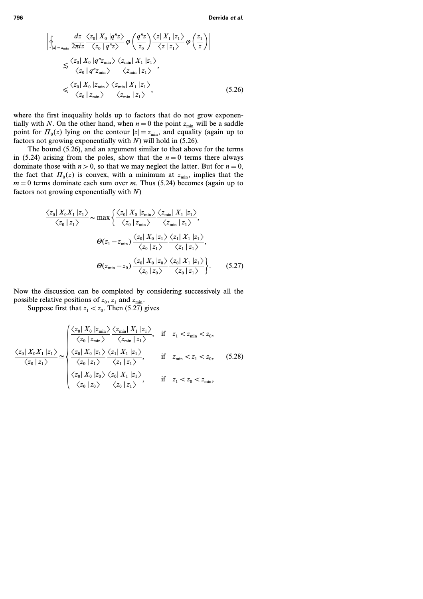$$
\begin{split}\n&\left|\oint_{|z|=z_{\min}}\frac{dz}{2\pi iz}\frac{\langle z_{0}|X_{0}|q^{n}z\rangle}{\langle z_{0}|q^{n}z\rangle}\varphi\left(\frac{q^{n}z}{z_{0}}\right)\frac{\langle z|X_{1}|z_{1}\rangle}{\langle z|z_{1}\rangle}\varphi\left(\frac{z_{1}}{z}\right)\right| \\
&\lesssim \frac{\langle z_{0}|X_{0}|q^{n}z_{\min}\rangle}{\langle z_{0}|q^{n}z_{\min}\rangle}\frac{\langle z_{\min}|X_{1}|z_{1}\rangle}{\langle z_{\min}|z_{1}\rangle}, \\
&\lesssim \frac{\langle z_{0}|X_{0}|z_{\min}\rangle}{\langle z_{0}|z_{\min}\rangle}\frac{\langle z_{\min}|X_{1}|z_{1}\rangle}{\langle z_{\min}|z_{1}\rangle},\n\end{split} \tag{5.26}
$$

where the first inequality holds up to factors that do not grow exponentially with *N*. On the other hand, when  $n=0$  the point  $z_{\min}$  will be a saddle point for  $\Pi_0(z)$  lying on the contour  $|z| = z_{\min}$ , and equality (again up to factors not growing exponentially with *N*) will hold in (5.26).

The bound (5.26), and an argument similar to that above for the terms in (5.24) arising from the poles, show that the  $n=0$  terms there always dominate those with  $n>0$ , so that we may neglect the latter. But for  $n=0$ , the fact that  $\Pi_0(z)$  is convex, with a minimum at  $z_{\text{min}}$ , implies that the  $m=0$  terms dominate each sum over *m*. Thus (5.24) becomes (again up to factors not growing exponentially with *N*)

$$
\frac{\langle z_0 | X_0 X_1 | z_1 \rangle}{\langle z_0 | z_1 \rangle} \sim \max \left\{ \frac{\langle z_0 | X_0 | z_{\min} \rangle}{\langle z_0 | z_{\min} \rangle} \frac{\langle z_{\min} | X_1 | z_1 \rangle}{\langle z_{\min} | z_1 \rangle}, \right\}
$$
\n
$$
\Theta(z_1 - z_{\min}) \frac{\langle z_0 | X_0 | z_1 \rangle}{\langle z_0 | z_1 \rangle} \frac{\langle z_1 | X_1 | z_1 \rangle}{\langle z_1 | z_1 \rangle},
$$
\n
$$
\Theta(z_{\min} - z_0) \frac{\langle z_0 | X_0 | z_0 \rangle}{\langle z_0 | z_0 \rangle} \frac{\langle z_0 | X_1 | z_1 \rangle}{\langle z_0 | z_1 \rangle} \right\}. \tag{5.27}
$$

Now the discussion can be completed by considering successively all the possible relative positions of  $z_0$ ,  $z_1$  and  $z_{\text{min}}$ .

Suppose first that  $z_1 < z_0$ . Then (5.27) gives

$$
\frac{\langle z_0 | X_0 X_1 | z_1 \rangle}{\langle z_0 | z_1 \rangle} \simeq \begin{cases} \frac{\langle z_0 | X_0 | z_{\min} \rangle}{\langle z_0 | z_{\min} \rangle} \frac{\langle z_{\min} | X_1 | z_1 \rangle}{\langle z_{\min} | z_1 \rangle}, & \text{if } z_1 < z_{\min} < z_0, \\ \frac{\langle z_0 | X_0 X_1 | z_1 \rangle}{\langle z_0 | z_1 \rangle} \simeq \begin{cases} \frac{\langle z_0 | X_0 | z_1 \rangle}{\langle z_0 | z_1 \rangle} \frac{\langle z_1 | X_1 | z_1 \rangle}{\langle z_1 | z_1 \rangle}, & \text{if } z_{\min} < z_1 < z_0, \\ \frac{\langle z_0 | X_0 | z_0 \rangle}{\langle z_0 | z_0 \rangle} \frac{\langle z_0 | X_1 | z_1 \rangle}{\langle z_0 | z_1 \rangle}, & \text{if } z_1 < z_0 < z_{\min}, \end{cases} \end{cases} \tag{5.28}
$$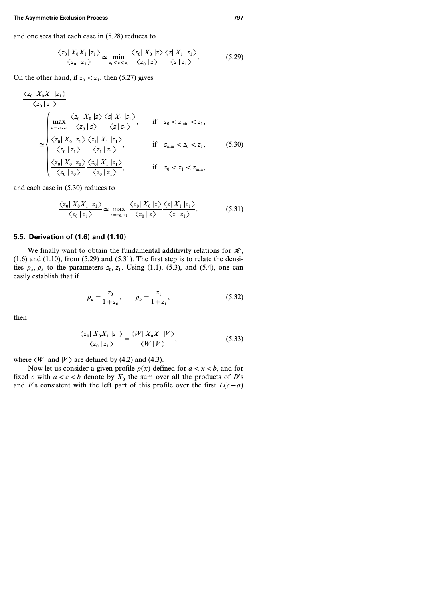and one sees that each case in (5.28) reduces to

$$
\frac{\langle z_0 | X_0 X_1 | z_1 \rangle}{\langle z_0 | z_1 \rangle} \simeq \min_{z_1 \leq z \leq z_0} \frac{\langle z_0 | X_0 | z \rangle \langle z | X_1 | z_1 \rangle}{\langle z_0 | z \rangle}.
$$
 (5.29)

On the other hand, if  $z_0 < z_1$ , then (5.27) gives

$$
\frac{\langle z_0 | X_0 X_1 | z_1 \rangle}{\langle z_0 | z_1 \rangle}
$$
\n
$$
\approx \begin{cases}\n\max_{z = z_0, z_1} \frac{\langle z_0 | X_0 | z \rangle \langle z | X_1 | z_1 \rangle}{\langle z_0 | z \rangle} & \text{if } z_0 < z_{\min} < z_1, \\
\frac{\langle z_0 | X_0 | z_1 \rangle \langle z_1 | X_1 | z_1 \rangle}{\langle z_0 | z_1 \rangle} & \text{if } z_{\min} < z_0 < z_1, \\
\frac{\langle z_0 | X_0 | z_0 \rangle \langle z_1 | z_1 \rangle}{\langle z_0 | z_0 \rangle} & \frac{\langle z_0 | X_1 | z_1 \rangle}{\langle z_0 | z_1 \rangle}, & \text{if } z_0 < z_1 < z_{\min},\n\end{cases}
$$
\n(5.30)

and each case in (5.30) reduces to

$$
\frac{\langle z_0 | X_0 X_1 | z_1 \rangle}{\langle z_0 | z_1 \rangle} \simeq \max_{z = z_0, z_1} \frac{\langle z_0 | X_0 | z \rangle}{\langle z_0 | z \rangle} \frac{\langle z | X_1 | z_1 \rangle}{\langle z | z_1 \rangle}.
$$
 (5.31)

### **5.5. Derivation of (1.6) and (1.10)**

We finally want to obtain the fundamental additivity relations for  $\mathcal{H}$ ,  $(1.6)$  and  $(1.10)$ , from  $(5.29)$  and  $(5.31)$ . The first step is to relate the densities  $\rho_a$ ,  $\rho_b$  to the parameters  $z_0$ ,  $z_1$ . Using (1.1), (5.3), and (5.4), one can easily establish that if

$$
\rho_a = \frac{z_0}{1 + z_0}, \qquad \rho_b = \frac{z_1}{1 + z_1}, \tag{5.32}
$$

then

$$
\frac{\langle z_0 | X_0 X_1 | z_1 \rangle}{\langle z_0 | z_1 \rangle} = \frac{\langle W | X_0 X_1 | V \rangle}{\langle W | V \rangle},
$$
\n(5.33)

where  $\langle W|$  and  $|V\rangle$  are defined by (4.2) and (4.3).

Now let us consider a given profile  $\rho(x)$  defined for  $a < x < b$ , and for fixed *c* with  $a < c < b$  denote by  $X_0$  the sum over all the products of *D*'s and *E*'s consistent with the left part of this profile over the first  $L(c-a)$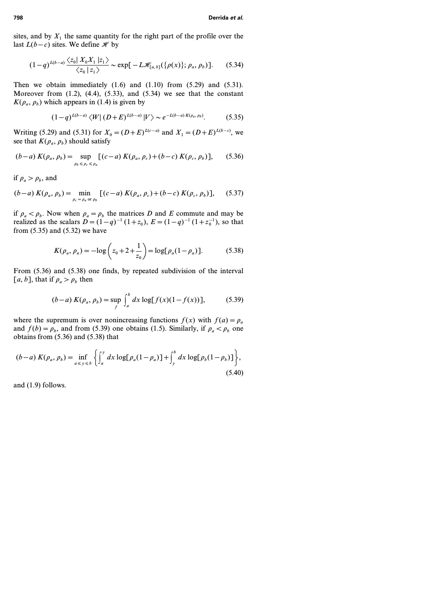sites, and by  $X_1$  the same quantity for the right part of the profile over the last  $L(b-c)$  sites. We define  $\mathcal{H}$  by

$$
(1-q)^{L(b-a)} \frac{\langle z_0 | X_0 X_1 | z_1 \rangle}{\langle z_0 | z_1 \rangle} \sim \exp[-L \mathcal{H}_{[a,b]}(\{\rho(x)\}; \rho_a, \rho_b)]. \tag{5.34}
$$

Then we obtain immediately  $(1.6)$  and  $(1.10)$  from  $(5.29)$  and  $(5.31)$ . Moreover from  $(1.2)$ ,  $(4.4)$ ,  $(5.33)$ , and  $(5.34)$  we see that the constant  $K(\rho_a, \rho_b)$  which appears in (1.4) is given by

$$
(1-q)^{L(b-a)} \langle W | (D+E)^{L(b-a)} | V \rangle \sim e^{-L(b-a) K(\rho_a, \rho_b)}.
$$
 (5.35)

Writing (5.29) and (5.31) for  $X_0 = (D+E)^{L(c-a)}$  and  $X_1 = (D+E)^{L(b-c)}$ , we see that  $K(\rho_a, \rho_b)$  should satisfy

$$
(b-a) K(\rho_a, \rho_b) = \sup_{\rho_b \le \rho_c \le \rho_a} [(c-a) K(\rho_a, \rho_c) + (b-c) K(\rho_c, \rho_b)], \quad (5.36)
$$

if  $\rho_a > \rho_b$ , and

$$
(b-a) K(\rho_a, \rho_b) = \min_{\rho_c = \rho_a \text{ or } \rho_b} [(c-a) K(\rho_a, \rho_c) + (b-c) K(\rho_c, \rho_b)], \quad (5.37)
$$

if  $\rho_a < \rho_b$ . Now when  $\rho_a = \rho_b$  the matrices *D* and *E* commute and may be realized as the scalars  $D = (1 - q)^{-1}(1 + z_0)$ ,  $E = (1 - q)^{-1}(1 + z_0^{-1})$ , so that from (5.35) and (5.32) we have

$$
K(\rho_a, \rho_a) = -\log\left(z_0 + 2 + \frac{1}{z_0}\right) = \log[\rho_a(1 - \rho_a)].
$$
 (5.38)

From (5.36) and (5.38) one finds, by repeated subdivision of the interval [a, b], that if  $\rho_a > \rho_b$  then

$$
(b-a) K(\rho_a, \rho_b) = \sup_f \int_a^b dx \log[f(x)(1 - f(x))], \quad (5.39)
$$

where the supremum is over nonincreasing functions  $f(x)$  with  $f(a) = \rho_a$ and  $f(b) = \rho_b$ , and from (5.39) one obtains (1.5). Similarly, if  $\rho_a < \rho_b$  one obtains from (5.36) and (5.38) that

$$
(b-a) K(\rho_a, \rho_b) = \inf_{a \leq y \leq b} \left\{ \int_a^y dx \log[\rho_a(1-\rho_a)] + \int_y^b dx \log[\rho_b(1-\rho_b)] \right\},\tag{5.40}
$$

and (1.9) follows.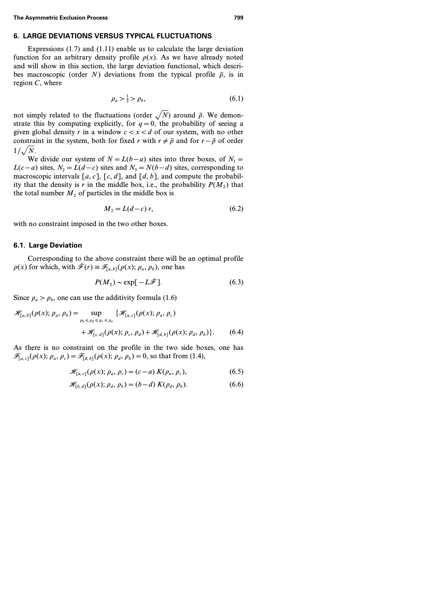### **6. LARGE DEVIATIONS VERSUS TYPICAL FLUCTUATIONS**

Expressions (1.7) and (1.11) enable us to calculate the large deviation function for an arbitrary density profile  $\rho(x)$ . As we have already noted and will show in this section, the large deviation functional, which describes macroscopic (order *N*) deviations from the typical profile  $\bar{p}$ , is in region *C*, where

$$
\rho_a > \frac{1}{2} > \rho_b,\tag{6.1}
$$

not simply related to the fluctuations (order  $\sqrt{N}$ ) around  $\bar{\rho}$ . We demonstrate this by computing explicitly, for  $q=0$ , the probability of seeing a given global density  $r$  in a window  $c < x < d$  of our system, with no other constraint in the system, both for fixed *r* with  $r \neq \bar{p}$  and for  $r - \bar{p}$  of order  $1/\sqrt{N}$ .

We divide our system of  $N = L(b - a)$  sites into three boxes, of  $N_1 =$ *L*(*c* − *a*) sites, *N*<sub>2</sub> = *L*(*d* − *c*) sites and *N*<sub>3</sub> = *N*(*b* − *d*) sites, corresponding to macroscopic intervals  $[a, c]$ ,  $[c, d]$ , and  $[d, b]$ , and compute the probability that the density is *r* in the middle box, i.e., the probability  $P(M_2)$  that the total number  $M_2$  of particles in the middle box is

$$
M_2 = L(d-c) r,\t\t(6.2)
$$

with no constraint imposed in the two other boxes.

### **6.1. Large Deviation**

Corresponding to the above constraint there will be an optimal profile  $\rho(x)$  for which, with  $\bar{\mathcal{F}}(r) \equiv \mathcal{F}_{[a, b]}(\rho(x); \rho_a, \rho_b)$ , one has

$$
P(M_2) \sim \exp[-L\bar{\mathcal{F}}]. \tag{6.3}
$$

Since  $\rho_a > \rho_b$ , one can use the additivity formula (1.6)

$$
\mathcal{H}_{[a,b]}(\rho(x); \rho_a, \rho_b) = \sup_{\rho_b \le \rho_d \le \rho_c \le \rho_a} \{ \mathcal{H}_{[a,c]}(\rho(x); \rho_a, \rho_c) + \mathcal{H}_{[c,d]}(\rho(x); \rho_c, \rho_d) + \mathcal{H}_{[d,b]}(\rho(x); \rho_d, \rho_b) \}.
$$
(6.4)

As there is no constraint on the profile in the two side boxes, one has  $\mathscr{F}_{[a, c]}(\rho(x); \rho_a, \rho_c) = \mathscr{F}_{[d, b]}(\rho(x); \rho_d, \rho_b) = 0$ , so that from (1.4),

$$
\mathscr{H}_{[a,c]}(\rho(x); \rho_a, \rho_c) = (c-a) \, K(\rho_a, \rho_c), \tag{6.5}
$$

$$
\mathscr{H}_{[b,d]}(\rho(x); \rho_d, \rho_b) = (b-d) \, K(\rho_d, \rho_b). \tag{6.6}
$$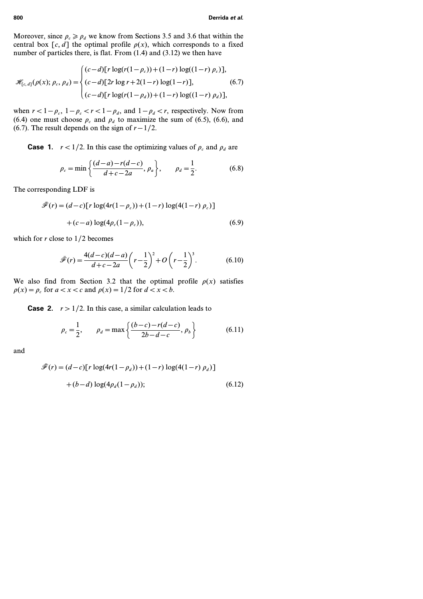Moreover, since  $\rho_c \ge \rho_d$  we know from Sections 3.5 and 3.6 that within the central box  $[c, d]$  the optimal profile  $\rho(x)$ , which corresponds to a fixed number of particles there, is flat. From (1.4) and (3.12) we then have

$$
\mathcal{H}_{[c,d]}(\rho(x); \rho_c, \rho_d) = \begin{cases} (c-d)[r \log(r(1-\rho_c)) + (1-r) \log((1-r) \rho_c)], \\ (c-d)[2r \log r + 2(1-r) \log(1-r)], \\ (c-d)[r \log(r(1-\rho_d)) + (1-r) \log((1-r) \rho_d)], \end{cases}
$$
(6.7)

when  $r < 1 - \rho_c$ ,  $1 - \rho_c < r < 1 - \rho_d$ , and  $1 - \rho_d < r$ , respectively. Now from (6.4) one must choose  $\rho_c$  and  $\rho_d$  to maximize the sum of (6.5), (6.6), and (6.7). The result depends on the sign of  $r - 1/2$ .

**Case 1.**  $r < 1/2$ . In this case the optimizing values of  $\rho_c$  and  $\rho_d$  are

$$
\rho_c = \min\left\{\frac{(d-a) - r(d-c)}{d+c-2a}, \rho_a\right\}, \qquad \rho_d = \frac{1}{2}.
$$
 (6.8)

The corresponding LDF is

$$
\bar{\mathcal{F}}(r) = (d-c)[r \log(4r(1-\rho_c)) + (1-r) \log(4(1-r) \rho_c)]
$$
  
+(c-a) \log(4\rho\_c(1-\rho\_c)), (6.9)

which for *r* close to *1/2* becomes

$$
\bar{\mathcal{F}}(r) = \frac{4(d-c)(d-a)}{d+c-2a} \left(r - \frac{1}{2}\right)^2 + O\left(r - \frac{1}{2}\right)^3.
$$
 (6.10)

We also find from Section 3.2 that the optimal profile  $\rho(x)$  satisfies  $\rho(x) = \rho_c$  for  $a < x < c$  and  $\rho(x) = 1/2$  for  $d < x < b$ .

**Case 2.**  $r > 1/2$ . In this case, a similar calculation leads to

$$
\rho_c = \frac{1}{2}, \qquad \rho_d = \max\left\{\frac{(b-c) - r(d-c)}{2b - d - c}, \rho_b\right\} \tag{6.11}
$$

and

$$
\bar{\mathcal{F}}(r) = (d-c)[r \log(4r(1-\rho_d)) + (1-r) \log(4(1-r) \rho_d)]
$$

$$
+ (b-d) \log(4\rho_d(1-\rho_d)); \tag{6.12}
$$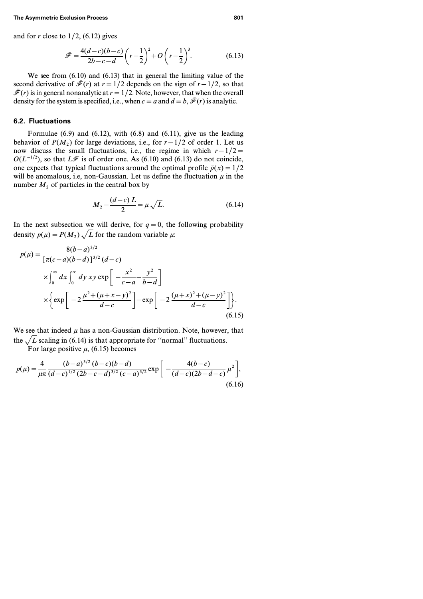and for *r* close to *1/2*, (6.12) gives

$$
\bar{\mathcal{F}} = \frac{4(d-c)(b-c)}{2b-c-d} \left(r - \frac{1}{2}\right)^2 + O\left(r - \frac{1}{2}\right)^3.
$$
 (6.13)

We see from (6.10) and (6.13) that in general the limiting value of the second derivative of  $\bar{\mathcal{F}}(r)$  at  $r=1/2$  depends on the sign of  $r-1/2$ , so that  $\bar{\mathcal{F}}(r)$  is in general nonanalytic at  $r=1/2$ . Note, however, that when the overall density for the system is specified, i.e., when  $c = a$  and  $d = b$ ,  $\bar{\mathcal{F}}(r)$  is analytic.

### **6.2. Fluctuations**

Formulae  $(6.9)$  and  $(6.12)$ , with  $(6.8)$  and  $(6.11)$ , give us the leading behavior of  $P(M_2)$  for large deviations, i.e., for  $r - 1/2$  of order 1. Let us now discuss the small fluctuations, i.e., the regime in which *r − 1/2=*  $O(L^{-1/2})$ , so that *L*F is of order one. As (6.10) and (6.13) do not coincide, one expects that typical fluctuations around the optimal profile  $\bar{p}(x)=1/2$ will be anomalous, i.e. non-Gaussian. Let us define the fluctuation  $\mu$  in the number  $M_2$  of particles in the central box by

$$
M_2 - \frac{(d-c)L}{2} = \mu \sqrt{L}.
$$
 (6.14)

In the next subsection we will derive, for  $q=0$ , the following probability density  $p(\mu) = P(M_2) \sqrt{L}$  for the random variable  $\mu$ .

$$
p(\mu) = \frac{8(b-a)^{3/2}}{[\pi(c-a)(b-d)]^{3/2} (d-c)}
$$
  
 
$$
\times \int_0^\infty dx \int_0^\infty dy \, xy \exp\left[-\frac{x^2}{c-a} - \frac{y^2}{b-d}\right]
$$
  
 
$$
\times \left\{ \exp\left[-2\frac{\mu^2 + (\mu + x - y)^2}{d-c}\right] - \exp\left[-2\frac{(\mu + x)^2 + (\mu - y)^2}{d-c}\right] \right\}.
$$
 (6.15)

We see that indeed  $\mu$  has a non-Gaussian distribution. Note, however, that the  $\sqrt{L}$  scaling in (6.14) is that appropriate for "normal" fluctuations.

For large positive  $\mu$ , (6.15) becomes

$$
p(\mu) = \frac{4}{\mu \pi} \frac{(b-a)^{3/2} (b-c)(b-d)}{(d-c)^{1/2} (2b-c-d)^{3/2} (c-a)^{3/2}} \exp\left[-\frac{4(b-c)}{(d-c)(2b-d-c)} \mu^2\right],
$$
\n(6.16)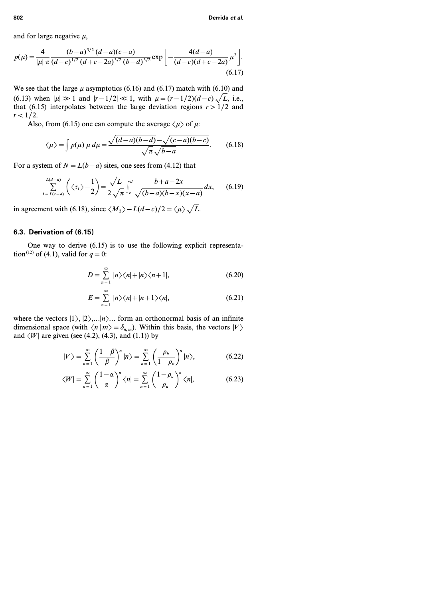and for large negative *m*,

$$
p(\mu) = \frac{4}{|\mu|} \frac{(b-a)^{3/2} (d-a)(c-a)}{(d-c)^{1/2} (d+c-2a)^{3/2} (b-d)^{3/2}} \exp\left[-\frac{4(d-a)}{(d-c)(d+c-2a)}\mu^2\right].
$$
\n(6.17)

We see that the large  $\mu$  asymptotics (6.16) and (6.17) match with (6.10) and (6.13) when  $|\mu| \gg 1$  and  $|r-1/2| \ll 1$ , with  $\mu = (r-1/2)(d-c)\sqrt{L}$ , i.e., that (6.15) interpolates between the large deviation regions  $r > 1/2$  and *r < 1/2*.

Also, from (6.15) one can compute the average  $\langle \mu \rangle$  of  $\mu$ :

$$
\langle \mu \rangle = \int p(\mu) \mu \, d\mu = \frac{\sqrt{(d-a)(b-d)} - \sqrt{(c-a)(b-c)}}{\sqrt{\pi} \sqrt{b-a}}. \tag{6.18}
$$

For a system of  $N = L(b - a)$  sites, one sees from (4.12) that

$$
\sum_{i=L(c-a)}^{L(d-a)} \left( \langle \tau_i \rangle - \frac{1}{2} \right) = \frac{\sqrt{L}}{2\sqrt{\pi}} \int_c^d \frac{b+a-2x}{\sqrt{(b-a)(b-x)(x-a)}} dx, \quad (6.19)
$$

in agreement with (6.18), since  $\langle M_2 \rangle - L(d-c)/2 = \langle \mu \rangle$ ,  $\sqrt{L}$ .

#### **6.3. Derivation of (6.15)**

One way to derive (6.15) is to use the following explicit representation<sup>(12)</sup> of (4.1), valid for  $q = 0$ :

$$
D = \sum_{n=1}^{\infty} |n\rangle\langle n| + |n\rangle\langle n+1|, \tag{6.20}
$$

$$
E = \sum_{n=1}^{\infty} |n\rangle\langle n| + |n+1\rangle\langle n|, \tag{6.21}
$$

where the vectors  $|1\rangle, |2\rangle, \ldots |n\rangle$ ... form an orthonormal basis of an infinite dimensional space (with  $\langle n|m\rangle = \delta_{n,m}$ ). Within this basis, the vectors  $|V\rangle$ and  $\langle W|$  are given (see (4.2), (4.3), and (1.1)) by

$$
|V\rangle = \sum_{n=1}^{\infty} \left(\frac{1-\beta}{\beta}\right)^n |n\rangle = \sum_{n=1}^{\infty} \left(\frac{\rho_b}{1-\rho_b}\right)^n |n\rangle, \tag{6.22}
$$

$$
\langle W \vert = \sum_{n=1}^{\infty} \left( \frac{1-\alpha}{\alpha} \right)^n \langle n \vert = \sum_{n=1}^{\infty} \left( \frac{1-\rho_a}{\rho_a} \right)^n \langle n \vert, \tag{6.23}
$$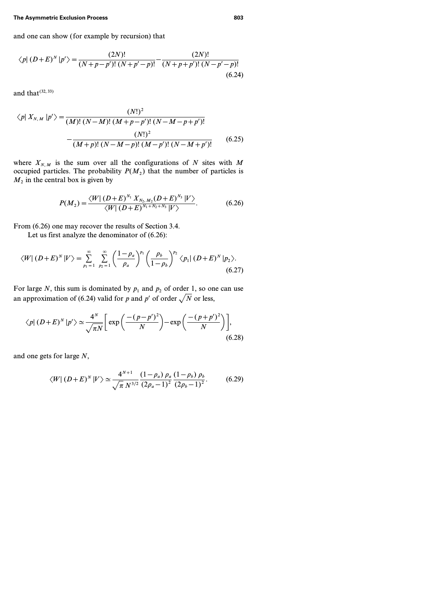and one can show ( for example by recursion) that

$$
\langle p | (D+E)^N | p' \rangle = \frac{(2N)!}{(N+p-p')! \, (N+p'-p)!} - \frac{(2N)!}{(N+p+p')! \, (N-p'-p)!} \tag{6.24}
$$

and that  $(32, 33)$ 

$$
\langle p| X_{N,M} | p' \rangle = \frac{(N!)^2}{(M)!(N-M)!(M+p-p')!(N-M-p+p')!} - \frac{(N!)^2}{(M+p)!(N-M-p)!(M-p')!(N-M+p')!} \tag{6.25}
$$

where  $X_{N,M}$  is the sum over all the configurations of N sites with M occupied particles. The probability  $P(M_2)$  that the number of particles is  $M<sub>2</sub>$  in the central box is given by

$$
P(M_2) = \frac{\langle W | (D+E)^{N_1} X_{N_2,M_2}(D+E)^{N_3} | V \rangle}{\langle W | (D+E)^{N_1+N_2+N_3} | V \rangle}.
$$
 (6.26)

From (6.26) one may recover the results of Section 3.4.

Let us first analyze the denominator of (6.26):

$$
\langle W | (D+E)^N | V \rangle = \sum_{p_1=1}^{\infty} \sum_{p_2=1}^{\infty} \left( \frac{1-\rho_a}{\rho_a} \right)^{p_1} \left( \frac{\rho_b}{1-\rho_b} \right)^{p_2} \langle p_1 | (D+E)^N | p_2 \rangle.
$$
\n(6.27)

For large N, this sum is dominated by  $p_1$  and  $p_2$  of order 1, so one can use an approximation of (6.24) valid for *p* and *p'* of order  $\sqrt{N}$  or less,

$$
\langle p| (D+E)^N | p' \rangle \simeq \frac{4^N}{\sqrt{\pi N}} \bigg[ \exp\bigg( \frac{-(p-p')^2}{N} \bigg) - \exp\bigg( \frac{-(p+p')^2}{N} \bigg) \bigg],\tag{6.28}
$$

and one gets for large *N*,

$$
\langle W | (D+E)^N | V \rangle \simeq \frac{4^{N+1}}{\sqrt{\pi} N^{3/2}} \frac{(1-\rho_a) \rho_a}{(2\rho_a - 1)^2} \frac{(1-\rho_b) \rho_b}{(2\rho_b - 1)^2}.
$$
 (6.29)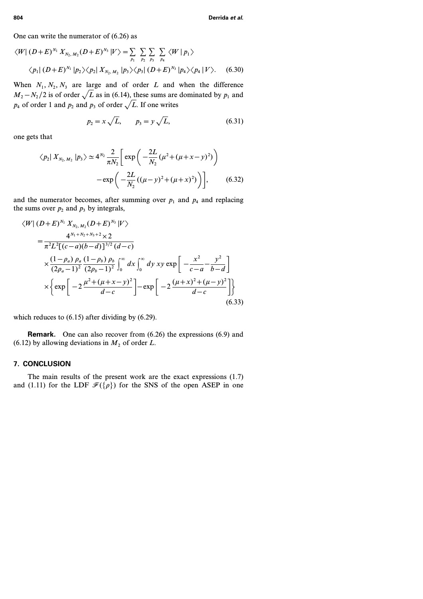One can write the numerator of (6.26) as

$$
\langle W | (D+E)^{N_1} X_{N_2, M_2} (D+E)^{N_3} | V \rangle = \sum_{p_1} \sum_{p_2} \sum_{p_3} \sum_{p_4} \langle W | p_1 \rangle
$$
  
 
$$
\langle p_1 | (D+E)^{N_1} | p_2 \rangle \langle p_2 | X_{N_2, M_2} | p_3 \rangle \langle p_3 | (D+E)^{N_3} | p_4 \rangle \langle p_4 | V \rangle.
$$
 (6.30)

When  $N_1, N_2, N_3$  are large and of order *L* and when the difference  $M_2 - N_2/2$  is of order  $\sqrt{L}$  as in (6.14), these sums are dominated by  $p_1$  and  $p_4$  of order 1 and  $p_2$  and  $p_3$  of order  $\sqrt{L}$ . If one writes

$$
p_2 = x\sqrt{L}, \qquad p_3 = y\sqrt{L},
$$
 (6.31)

one gets that

$$
\langle p_2 | X_{N_2, M_2} | p_3 \rangle \simeq 4^{N_2} \frac{2}{\pi N_2} \left[ \exp \left( -\frac{2L}{N_2} (\mu^2 + (\mu + x - y)^2) \right) - \exp \left( -\frac{2L}{N_2} ((\mu - y)^2 + (\mu + x)^2) \right) \right],
$$
 (6.32)

and the numerator becomes, after summing over  $p_1$  and  $p_4$  and replacing the sums over  $p_2$  and  $p_3$  by integrals,

$$
\langle W | (D+E)^{N_1} X_{N_2, M_2}(D+E)^{N_3} | V \rangle
$$
  
=  $\frac{4^{N_1+N_2+N_3+2} \times 2}{\pi^2 L^2 [(c-a)(b-d)]^{3/2} (d-c)}$   
 $\times \frac{(1-\rho_a) \rho_a (1-\rho_b) \rho_b}{(2\rho_a-1)^2} \int_0^{\infty} dx \int_0^{\infty} dy \, xy \exp \left[ -\frac{x^2}{c-a} - \frac{y^2}{b-d} \right]$   
 $\times \left\{ \exp \left[ -2 \frac{\mu^2 + (\mu + x - y)^2}{d-c} \right] - \exp \left[ -2 \frac{(\mu + x)^2 + (\mu - y)^2}{d-c} \right] \right\}$  (6.33)

which reduces to  $(6.15)$  after dividing by  $(6.29)$ .

**Remark.** One can also recover from (6.26) the expressions (6.9) and (6.12) by allowing deviations in  $M_2$  of order  $L$ .

#### **7. CONCLUSION**

The main results of the present work are the exact expressions (1.7) and (1.11) for the LDF  $\mathcal{F}({\rho})$  for the SNS of the open ASEP in one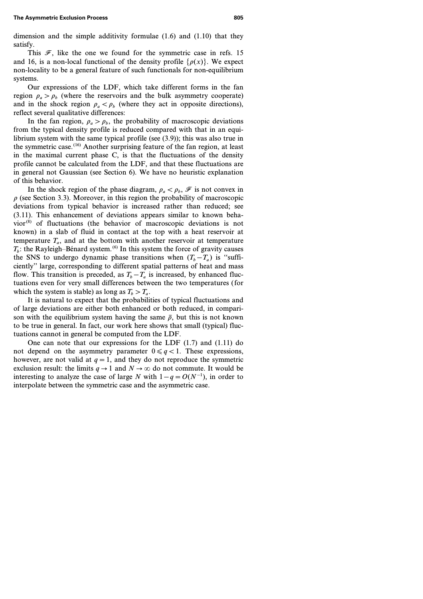This  $\mathcal{F}$ , like the one we found for the symmetric case in refs. 15 and 16, is a non-local functional of the density profile  $\{\rho(x)\}\)$ . We expect non-locality to be a general feature of such functionals for non-equilibrium systems.

Our expressions of the LDF, which take different forms in the fan region  $\rho_a > \rho_b$  (where the reservoirs and the bulk asymmetry cooperate) and in the shock region  $\rho_a < \rho_b$  (where they act in opposite directions), reflect several qualitative differences:

In the fan region,  $\rho_a > \rho_b$ , the probability of macroscopic deviations from the typical density profile is reduced compared with that in an equilibrium system with the same typical profile (see (3.9)); this was also true in the symmetric case.<sup> $(16)$ </sup> Another surprising feature of the fan region, at least in the maximal current phase C, is that the fluctuations of the density profile cannot be calculated from the LDF, and that these fluctuations are in general not Gaussian (see Section 6). We have no heuristic explanation of this behavior.

In the shock region of the phase diagram,  $\rho_a < \rho_b$ ,  $\mathcal{F}$  is not convex in  $\rho$  (see Section 3.3). Moreover, in this region the probability of macroscopic deviations from typical behavior is increased rather than reduced; see (3.11). This enhancement of deviations appears similar to known behavior<sup>(8)</sup> of fluctuations (the behavior of macroscopic deviations is not known) in a slab of fluid in contact at the top with a heat reservoir at temperature  $T_a$ , and at the bottom with another reservoir at temperature  $T_b$ : the Rayleigh–Bénard system.<sup>(6)</sup> In this system the force of gravity causes the SNS to undergo dynamic phase transitions when  $(T_b - T_a)$  is "sufficiently'' large, corresponding to different spatial patterns of heat and mass flow. This transition is preceded, as  $T_b - T_a$  is increased, by enhanced fluctuations even for very small differences between the two temperatures ( for which the system is stable) as long as  $T_b > T_a$ .

It is natural to expect that the probabilities of typical fluctuations and of large deviations are either both enhanced or both reduced, in comparison with the equilibrium system having the same  $\bar{p}$ , but this is not known to be true in general. In fact, our work here shows that small (typical) fluctuations cannot in general be computed from the LDF.

One can note that our expressions for the LDF (1.7) and (1.11) do not depend on the asymmetry parameter  $0 \leq q < 1$ . These expressions, however, are not valid at  $q=1$ , and they do not reproduce the symmetric exclusion result: the limits  $q \to 1$  and  $N \to \infty$  do not commute. It would be interesting to analyze the case of large *N* with  $1 - q = O(N^{-1})$ , in order to interpolate between the symmetric case and the asymmetric case.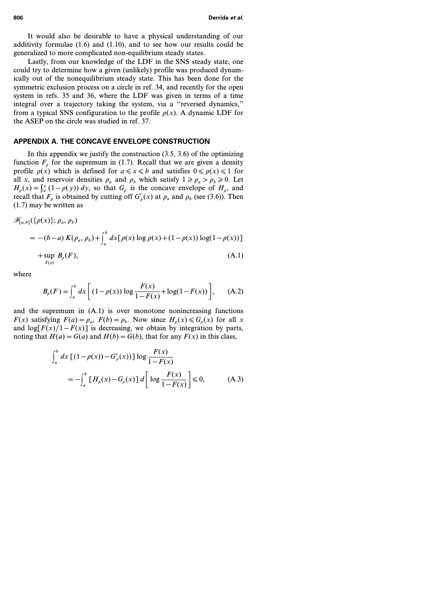It would also be desirable to have a physical understanding of our additivity formulae (1.6) and (1.10), and to see how our results could be generalized to more complicated non-equilibrium steady states.

Lastly, from our knowledge of the LDF in the SNS steady state, one could try to determine how a given (unlikely) profile was produced dynamically out of the nonequilibrium steady state. This has been done for the symmetric exclusion process on a circle in ref. 34, and recently for the open system in refs. 35 and 36, where the LDF was given in terms of a time integral over a trajectory taking the system, via a ''reversed dynamics,'' from a typical SNS configuration to the profile  $\rho(x)$ . A dynamic LDF for the ASEP on the circle was studied in ref. 37.

#### **APPENDIX A. THE CONCAVE ENVELOPE CONSTRUCTION**

In this appendix we justify the construction  $(3.5, 3.6)$  of the optimizing function  $F_p$  for the supremum in (1.7). Recall that we are given a density profile  $\rho(x)$  which is defined for  $a \le x \le b$  and satisfies  $0 \le \rho(x) \le 1$  for all *x*, and reservoir densities  $\rho_a$  and  $\rho_b$  which satisfy  $1 \ge \rho_a > \rho_b \ge 0$ . Let  $H_p(x) = \int_a^x (1 - p(y)) dy$ , so that  $G_p$  is the concave envelope of  $H_p$ , and recall that  $F_{\rho}$  is obtained by cutting off  $G_{\rho}'(x)$  at  $\rho_a$  and  $\rho_b$  (see (3.6)). Then (1.7) may be written as

$$
\mathscr{F}_{[a,b]}(\{\rho(x)\};\rho_a,\rho_b) = -(b-a) K(\rho_a,\rho_b) + \int_a^b dx [\rho(x) \log \rho(x) + (1-\rho(x)) \log(1-\rho(x))]
$$
  
+ sup  $B_{\rho}(F)$ , (A.1)

where

$$
B_{\rho}(F) = \int_{a}^{b} dx \left[ (1 - \rho(x)) \log \frac{F(x)}{1 - F(x)} + \log(1 - F(x)) \right], \quad (A.2)
$$

and the supremum in (A.1) is over monotone nonincreasing functions *F(x)* satisfying  $F(a) = \rho_a$ ,  $F(b) = \rho_b$ . Now since  $H_a(x) \le G_a(x)$  for all *x* and  $\log[F(x)/1 - F(x)]$  is decreasing, we obtain by integration by parts, noting that  $H(a) = G(a)$  and  $H(b) = G(b)$ , that for any  $F(x)$  in this class,

$$
\int_{a}^{b} dx \left[ (1 - \rho(x)) - G'_{\rho}(x) \right] \log \frac{F(x)}{1 - F(x)}
$$
  
= 
$$
- \int_{a}^{b} \left[ H_{\rho}(x) - G_{\rho}(x) \right] d \left[ \log \frac{F(x)}{1 - F(x)} \right] \le 0,
$$
 (A.3)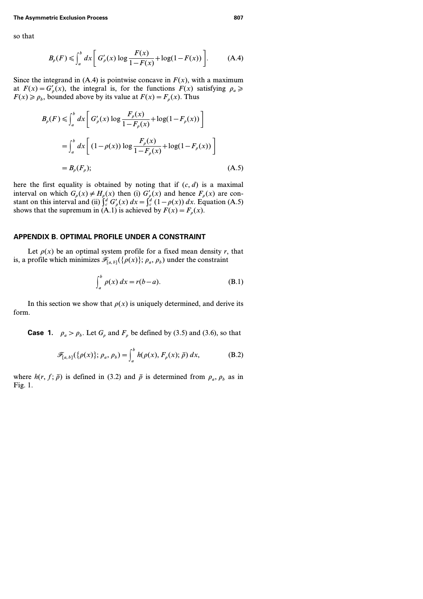so that

$$
B_{\rho}(F) \le \int_{a}^{b} dx \left[ G_{\rho}'(x) \log \frac{F(x)}{1 - F(x)} + \log(1 - F(x)) \right].
$$
 (A.4)

Since the integrand in  $(A.4)$  is pointwise concave in  $F(x)$ , with a maximum at  $F(x) = G'_{\rho}(x)$ , the integral is, for the functions  $F(x)$  satisfying  $\rho_a \geq$  $F(x) \ge \rho_b$ , bounded above by its value at  $F(x) = F_\rho(x)$ . Thus

$$
B_{\rho}(F) \le \int_{a}^{b} dx \left[ G_{\rho}'(x) \log \frac{F_{\rho}(x)}{1 - F_{\rho}(x)} + \log(1 - F_{\rho}(x)) \right]
$$
  
= 
$$
\int_{a}^{b} dx \left[ (1 - \rho(x)) \log \frac{F_{\rho}(x)}{1 - F_{\rho}(x)} + \log(1 - F_{\rho}(x)) \right]
$$
  
= 
$$
B_{\rho}(F_{\rho}); \qquad (A.5)
$$

here the first equality is obtained by noting that if  $(c, d)$  is a maximal interval on which  $G_p(x) \neq H_p(x)$  then (i)  $G'_p(x)$  and hence  $F_p(x)$  are constant on this interval and (ii)  $\int_c^d G'_{\rho}(x) dx = \int_c^d (1 - \rho(x)) dx$ . Equation (A.5) shows that the supremum in  $(A.1)$  is achieved by  $F(x) = F_p(x)$ .

#### **APPENDIX B. OPTIMAL PROFILE UNDER A CONSTRAINT**

Let  $\rho(x)$  be an optimal system profile for a fixed mean density *r*, that is, a profile which minimizes  $\mathcal{F}_{[a,b]}(\{\rho(x)\};\rho_a,\rho_b)$  under the constraint

$$
\int_{a}^{b} \rho(x) dx = r(b-a). \tag{B.1}
$$

In this section we show that  $\rho(x)$  is uniquely determined, and derive its form.

**Case 1.**  $\rho_a > \rho_b$ . Let  $G_a$  and  $F_a$  be defined by (3.5) and (3.6), so that

$$
\mathscr{F}_{[a,b]}(\{\rho(x)\};\rho_a,\rho_b) = \int_a^b h(\rho(x),F_{\rho}(x);\bar{\rho})\,dx,\tag{B.2}
$$

where  $h(r, f; \bar{\rho})$  is defined in (3.2) and  $\bar{\rho}$  is determined from  $\rho_a$ ,  $\rho_b$  as in Fig. 1.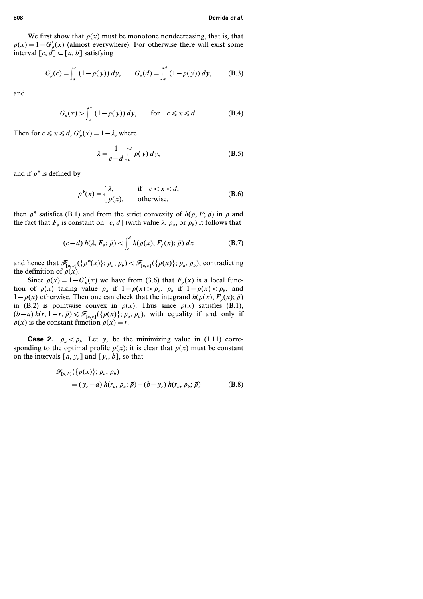We first show that  $\rho(x)$  must be monotone nondecreasing, that is, that  $\rho(x) = 1 - G'_{\rho}(x)$  (almost everywhere). For otherwise there will exist some interval  $[c, d] \subset [a, b]$  satisfying

$$
G_{\rho}(c) = \int_{a}^{c} (1 - \rho(y)) dy, \qquad G_{\rho}(d) = \int_{a}^{d} (1 - \rho(y)) dy, \qquad (B.3)
$$

and

$$
G_{\rho}(x) > \int_{a}^{x} (1 - \rho(y)) dy, \quad \text{for} \quad c \leq x \leq d. \tag{B.4}
$$

Then for  $c \le x \le d$ ,  $G'_{\rho}(x) = 1 - \lambda$ , where

$$
\lambda = \frac{1}{c - d} \int_{c}^{d} \rho(y) \, dy,\tag{B.5}
$$

and if  $\rho^*$  is defined by

$$
\rho^*(x) = \begin{cases} \lambda, & \text{if } c < x < d, \\ \rho(x), & \text{otherwise,} \end{cases}
$$
 (B.6)

then  $\rho^*$  satisfies (B.1) and from the strict convexity of  $h(\rho, F; \bar{\rho})$  in  $\rho$  and the fact that  $F_p$  is constant on  $[c, d]$  (with value  $\lambda$ ,  $\rho_q$ , or  $\rho_b$ ) it follows that

$$
(c-d) h(\lambda, F_{\rho}; \bar{\rho}) < \int_{c}^{d} h(\rho(x), F_{\rho}(x); \bar{\rho}) dx
$$
 (B.7)

and hence that  $\mathscr{F}_{[a,b]}(\{\rho^*(x)\};\rho_a,\rho_b) < \mathscr{F}_{[a,b]}(\{\rho(x)\};\rho_a,\rho_b)$ , contradicting the definition of  $\rho(x)$ .

Since  $\rho(x) = 1 - G'_{\rho}(x)$  we have from (3.6) that  $F_{\rho}(x)$  is a local function of  $\rho(x)$  taking value  $\rho_a$  if  $1 - \rho(x) > \rho_a$ ,  $\rho_b$  if  $1 - \rho(x) < \rho_b$ , and *1*− $\rho(x)$  otherwise. Then one can check that the integrand  $h(\rho(x), F_{\rho}(x); \bar{\rho})$ in (B.2) is pointwise convex in  $\rho(x)$ . Thus since  $\rho(x)$  satisfies (B.1),  $(b-a)$   $h(r, 1-r, \bar{p}) \leq \mathcal{F}_{[a, b]}(\{\rho(x)\}; \rho_a, \rho_b)$ , with equality if and only if  $\rho(x)$  is the constant function  $\rho(x) = r$ .

**Case 2.**  $\rho_a < \rho_b$ . Let  $y_r$  be the minimizing value in (1.11) corresponding to the optimal profile  $\rho(x)$ ; it is clear that  $\rho(x)$  must be constant on the intervals  $[a, y_r]$  and  $[y_r, b]$ , so that

$$
\mathcal{F}_{[a,b]}(\{\rho(x)\};\rho_a,\rho_b) = (y_r - a) h(r_a,\rho_a;\bar{\rho}) + (b - y_r) h(r_b,\rho_b;\bar{\rho})
$$
(B.8)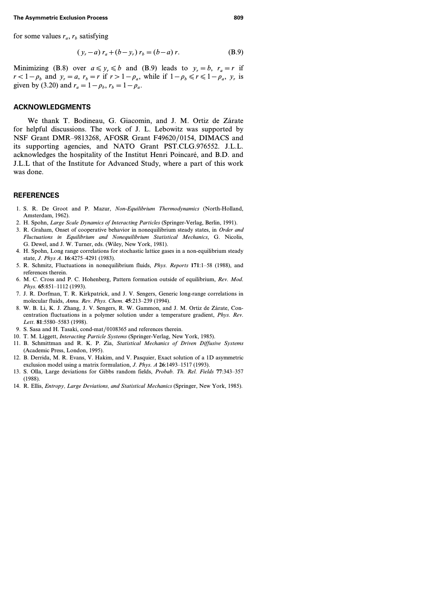for some values  $r_a$ ,  $r_b$  satisfying

$$
(y_r - a) r_a + (b - y_r) r_b = (b - a) r.
$$
 (B.9)

Minimizing (B.8) over  $a \leq y_r \leq b$  and (B.9) leads to  $y_r = b$ ,  $r_a = r$  if  $r < 1-p_b$  and  $y_r = a$ ,  $r_b = r$  if  $r > 1-p_a$ , while if  $1-p_b \le r \le 1-p_a$ ,  $y_r$  is given by (3.20) and  $r_a = 1 - \rho_b$ ,  $r_b = 1 - \rho_a$ .

### **ACKNOWLEDGMENTS**

We thank T. Bodineau, G. Giacomin, and J. M. Ortiz de Zárate for helpful discussions. The work of J. L. Lebowitz was supported by NSF Grant DMR–9813268, AFOSR Grant F49620/0154, DIMACS and its supporting agencies, and NATO Grant PST.CLG.976552. J.L.L. acknowledges the hospitality of the Institut Henri Poincaré, and B.D. and J.L.L that of the Institute for Advanced Study, where a part of this work was done.

### **REFERENCES**

- 1. S. R. De Groot and P. Mazur, *Non-Equilibrium Thermodynamics* (North-Holland, Amsterdam, 1962).
- 2. H. Spohn, *Large Scale Dynamics of Interacting Particles* (Springer-Verlag, Berlin, 1991).
- 3. R. Graham, Onset of cooperative behavior in nonequilibrium steady states, in *Order and Fluctuations in Equilibrium and Nonequilibrium Statistical Mechanics*, G. Nicolis, G. Dewel, and J. W. Turner, eds. (Wiley, New York, 1981).
- 4. H. Spohn, Long range correlations for stochastic lattice gases in a non-equilibrium steady state, *J. Phys A.* **16**:4275–4291 (1983).
- 5. R. Schmitz, Fluctuations in nonequilibrium fluids, *Phys. Reports* **171**:1–58 (1988), and references therein.
- 6. M. C. Cross and P. C. Hohenberg, Pattern formation outside of equilibrium, *Rev. Mod. Phys.* **65**:851–1112 (1993).
- 7. J. R. Dorfman, T. R. Kirkpatrick, and J. V. Sengers, Generic long-range correlations in molecular fluids, *Annu. Rev. Phys. Chem.* **45**:213–239 (1994).
- 8. W. B. Li, K. J. Zhang, J. V. Sengers, R. W. Gammon, and J. M. Ortiz de Zárate, Concentration fluctuations in a polymer solution under a temperature gradient, *Phys. Rev. Lett.* **81**:5580–5583 (1998).
- 9. S. Sasa and H. Tasaki, cond-mat/0108365 and references therein.
- 10. T. M. Liggett, *Interacting Particle Systems* (Springer-Verlag, New York, 1985).
- 11. B. Schmittman and R. K. P. Zia, *Statistical Mechanics of Driven Diffusive Systems* (Academic Press, London, 1995).
- 12. B. Derrida, M. R. Evans, V. Hakim, and V. Pasquier, Exact solution of a 1D asymmetric exclusion model using a matrix formulation, *J. Phys. A* **26**:1493–1517 (1993).
- 13. S. Olla, Large deviations for Gibbs random fields, *Probab. Th. Rel. Fields* **77**:343–357 (1988).
- 14. R. Ellis, *Entropy, Large Deviations, and Statistical Mechanics* (Springer, New York, 1985).